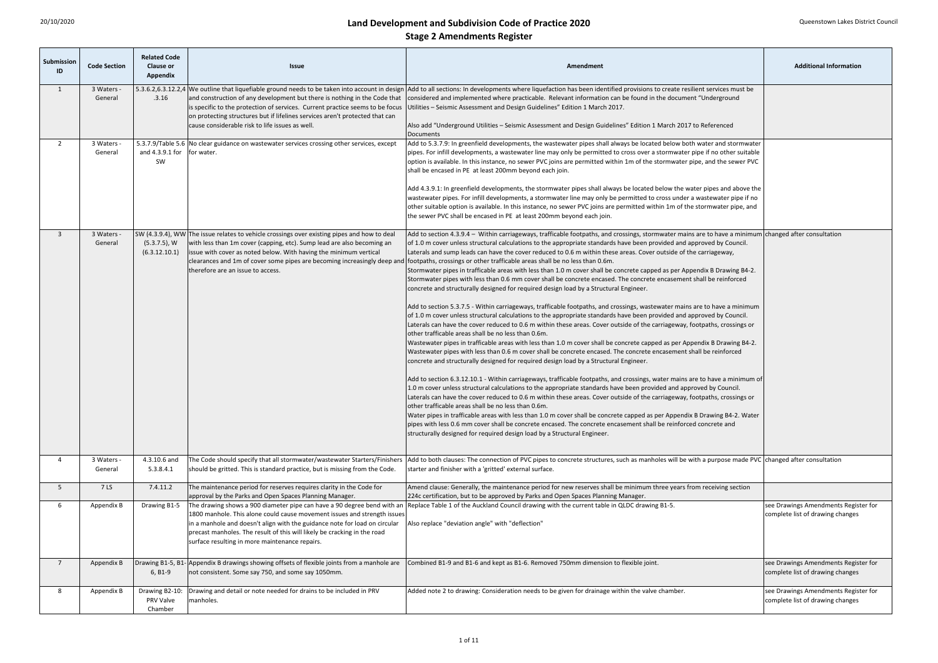| Submission<br>ID | <b>Code Section</b>   | <b>Related Code</b><br><b>Clause or</b><br><b>Appendix</b> | <b>Issue</b>                                                                                                                                                                                                                                                                                                                                                    | Amendment                                                                                                                                                                                                                                                                                                                                                                                                                                                                                                                                                                                                                                                                                                                                                                                                                                                                                                                                                                                                                                                                                                                                                                                                                                                                                                                                                                                                                                                                                                                                                                                                                                                                                                                                                                                                                                                                                                                                                                                                                                                                                                                                                                                                                                                                                                                                                                                           | <b>Additional Information</b>                                            |
|------------------|-----------------------|------------------------------------------------------------|-----------------------------------------------------------------------------------------------------------------------------------------------------------------------------------------------------------------------------------------------------------------------------------------------------------------------------------------------------------------|-----------------------------------------------------------------------------------------------------------------------------------------------------------------------------------------------------------------------------------------------------------------------------------------------------------------------------------------------------------------------------------------------------------------------------------------------------------------------------------------------------------------------------------------------------------------------------------------------------------------------------------------------------------------------------------------------------------------------------------------------------------------------------------------------------------------------------------------------------------------------------------------------------------------------------------------------------------------------------------------------------------------------------------------------------------------------------------------------------------------------------------------------------------------------------------------------------------------------------------------------------------------------------------------------------------------------------------------------------------------------------------------------------------------------------------------------------------------------------------------------------------------------------------------------------------------------------------------------------------------------------------------------------------------------------------------------------------------------------------------------------------------------------------------------------------------------------------------------------------------------------------------------------------------------------------------------------------------------------------------------------------------------------------------------------------------------------------------------------------------------------------------------------------------------------------------------------------------------------------------------------------------------------------------------------------------------------------------------------------------------------------------------------|--------------------------------------------------------------------------|
|                  | 3 Waters -<br>General | .3.16                                                      | is specific to the protection of services. Current practice seems to be focus<br>on protecting structures but if lifelines services aren't protected that can<br>cause considerable risk to life issues as well.                                                                                                                                                | 5.3.6.2,6.3.12.2,4 We outline that liquefiable ground needs to be taken into account in design  Add to all sections: In developments where liquefaction has been identified provisions to create resilient services must be<br>and construction of any development but there is nothing in the Code that considered and implemented where practicable. Relevant information can be found in the document "Underground"<br>Utilities - Seismic Assessment and Design Guidelines" Edition 1 March 2017.<br>Also add "Underground Utilities - Seismic Assessment and Design Guidelines" Edition 1 March 2017 to Referenced                                                                                                                                                                                                                                                                                                                                                                                                                                                                                                                                                                                                                                                                                                                                                                                                                                                                                                                                                                                                                                                                                                                                                                                                                                                                                                                                                                                                                                                                                                                                                                                                                                                                                                                                                                             |                                                                          |
|                  | 3 Waters -<br>General | and 4.3.9.1 for<br>SW                                      | 5.3.7.9/Table 5.6 No clear guidance on wastewater services crossing other services, except<br>for water.                                                                                                                                                                                                                                                        | Documents<br>Add to 5.3.7.9: In greenfield developments, the wastewater pipes shall always be located below both water and stormwater<br>pipes. For infill developments, a wastewater line may only be permitted to cross over a stormwater pipe if no other suitable<br>option is available. In this instance, no sewer PVC joins are permitted within 1m of the stormwater pipe, and the sewer PVC<br>shall be encased in PE at least 200mm beyond each join.<br>Add 4.3.9.1: In greenfield developments, the stormwater pipes shall always be located below the water pipes and above the<br>wastewater pipes. For infill developments, a stormwater line may only be permitted to cross under a wastewater pipe if no<br>other suitable option is available. In this instance, no sewer PVC joins are permitted within 1m of the stormwater pipe, and<br>the sewer PVC shall be encased in PE at least 200mm beyond each join.                                                                                                                                                                                                                                                                                                                                                                                                                                                                                                                                                                                                                                                                                                                                                                                                                                                                                                                                                                                                                                                                                                                                                                                                                                                                                                                                                                                                                                                                  |                                                                          |
|                  | 3 Waters -<br>General | $(5.3.7.5)$ , W<br>(6.3.12.10.1)                           | SW (4.3.9.4), WW The issue relates to vehicle crossings over existing pipes and how to deal<br>with less than 1m cover (capping, etc). Sump lead are also becoming an<br>issue with cover as noted below. With having the minimum vertical<br>clearances and 1m of cover some pipes are becoming increasingly deep and<br>therefore are an issue to access.     | Add to section 4.3.9.4 – Within carriageways, trafficable footpaths, and crossings, stormwater mains are to have a minimum changed after consultation<br>of 1.0 m cover unless structural calculations to the appropriate standards have been provided and approved by Council.<br>Laterals and sump leads can have the cover reduced to 0.6 m within these areas. Cover outside of the carriageway,<br>footpaths, crossings or other trafficable areas shall be no less than 0.6m.<br>Stormwater pipes in trafficable areas with less than 1.0 m cover shall be concrete capped as per Appendix B Drawing B4-2.<br>Stormwater pipes with less than 0.6 mm cover shall be concrete encased. The concrete encasement shall be reinforced<br>concrete and structurally designed for required design load by a Structural Engineer.<br>Add to section 5.3.7.5 - Within carriageways, trafficable footpaths, and crossings, wastewater mains are to have a minimum<br>of 1.0 m cover unless structural calculations to the appropriate standards have been provided and approved by Council.<br>Laterals can have the cover reduced to 0.6 m within these areas. Cover outside of the carriageway, footpaths, crossings or<br>other trafficable areas shall be no less than 0.6m.<br>Wastewater pipes in trafficable areas with less than 1.0 m cover shall be concrete capped as per Appendix B Drawing B4-2.<br>Wastewater pipes with less than 0.6 m cover shall be concrete encased. The concrete encasement shall be reinforced<br>concrete and structurally designed for required design load by a Structural Engineer.<br>Add to section 6.3.12.10.1 - Within carriageways, trafficable footpaths, and crossings, water mains are to have a minimum of<br>1.0 m cover unless structural calculations to the appropriate standards have been provided and approved by Council.<br>Laterals can have the cover reduced to 0.6 m within these areas. Cover outside of the carriageway, footpaths, crossings or<br>other trafficable areas shall be no less than 0.6m.<br>Water pipes in trafficable areas with less than 1.0 m cover shall be concrete capped as per Appendix B Drawing B4-2. Water<br>pipes with less 0.6 mm cover shall be concrete encased. The concrete encasement shall be reinforced concrete and<br>structurally designed for required design load by a Structural Engineer. |                                                                          |
|                  | 3 Waters -<br>General | 4.3.10.6 and<br>5.3.8.4.1                                  | The Code should specify that all stormwater/wastewater Starters/Finishers<br>should be gritted. This is standard practice, but is missing from the Code.                                                                                                                                                                                                        | Add to both clauses: The connection of PVC pipes to concrete structures, such as manholes will be with a purpose made PVC changed after consultation<br>starter and finisher with a 'gritted' external surface.                                                                                                                                                                                                                                                                                                                                                                                                                                                                                                                                                                                                                                                                                                                                                                                                                                                                                                                                                                                                                                                                                                                                                                                                                                                                                                                                                                                                                                                                                                                                                                                                                                                                                                                                                                                                                                                                                                                                                                                                                                                                                                                                                                                     |                                                                          |
| -5               | 7 LS                  | 7.4.11.2                                                   | The maintenance period for reserves requires clarity in the Code for<br>approval by the Parks and Open Spaces Planning Manager.                                                                                                                                                                                                                                 | Amend clause: Generally, the maintenance period for new reserves shall be minimum three years from receiving section<br>224c certification, but to be approved by Parks and Open Spaces Planning Manager.                                                                                                                                                                                                                                                                                                                                                                                                                                                                                                                                                                                                                                                                                                                                                                                                                                                                                                                                                                                                                                                                                                                                                                                                                                                                                                                                                                                                                                                                                                                                                                                                                                                                                                                                                                                                                                                                                                                                                                                                                                                                                                                                                                                           |                                                                          |
|                  | Appendix B            | Drawing B1-5                                               | The drawing shows a 900 diameter pipe can have a 90 degree bend with an<br>1800 manhole. This alone could cause movement issues and strength issues<br>in a manhole and doesn't align with the guidance note for load on circular<br>precast manholes. The result of this will likely be cracking in the road<br>surface resulting in more maintenance repairs. | Replace Table 1 of the Auckland Council drawing with the current table in QLDC drawing B1-5.<br>Also replace "deviation angle" with "deflection"                                                                                                                                                                                                                                                                                                                                                                                                                                                                                                                                                                                                                                                                                                                                                                                                                                                                                                                                                                                                                                                                                                                                                                                                                                                                                                                                                                                                                                                                                                                                                                                                                                                                                                                                                                                                                                                                                                                                                                                                                                                                                                                                                                                                                                                    | see Drawings Amendments Register for<br>complete list of drawing changes |
|                  | Appendix B            | $6, B1-9$                                                  | Drawing B1-5, B1- Appendix B drawings showing offsets of flexible joints from a manhole are<br>not consistent. Some say 750, and some say 1050mm.                                                                                                                                                                                                               | Combined B1-9 and B1-6 and kept as B1-6. Removed 750mm dimension to flexible joint.                                                                                                                                                                                                                                                                                                                                                                                                                                                                                                                                                                                                                                                                                                                                                                                                                                                                                                                                                                                                                                                                                                                                                                                                                                                                                                                                                                                                                                                                                                                                                                                                                                                                                                                                                                                                                                                                                                                                                                                                                                                                                                                                                                                                                                                                                                                 | see Drawings Amendments Register for<br>complete list of drawing changes |
| -8               | Appendix B            | Drawing B2-10:<br><b>PRV Valve</b><br>Chamber              | Drawing and detail or note needed for drains to be included in PRV<br>manholes.                                                                                                                                                                                                                                                                                 | Added note 2 to drawing: Consideration needs to be given for drainage within the valve chamber.                                                                                                                                                                                                                                                                                                                                                                                                                                                                                                                                                                                                                                                                                                                                                                                                                                                                                                                                                                                                                                                                                                                                                                                                                                                                                                                                                                                                                                                                                                                                                                                                                                                                                                                                                                                                                                                                                                                                                                                                                                                                                                                                                                                                                                                                                                     | see Drawings Amendments Register for<br>complete list of drawing changes |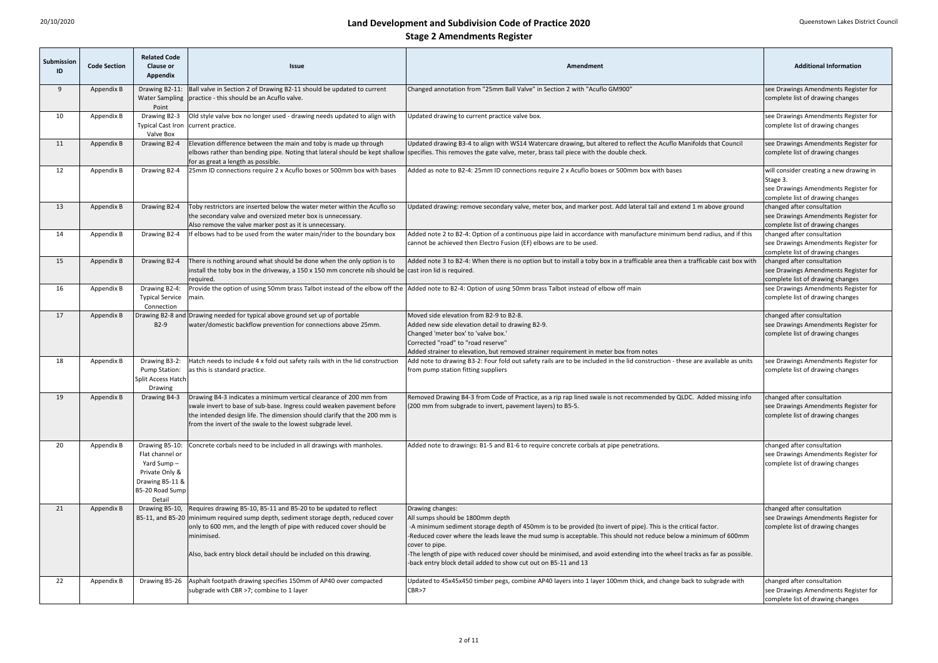| Submission<br>ID | <b>Code Section</b> | <b>Related Code</b><br><b>Clause or</b><br>Appendix                                                | <b>Issue</b>                                                                                                                                                                                                                                                                                                                       | Amendment                                                                                                                                                                                                                                                                                                                                                                                                                                                                                                   | <b>Additional Information</b>                                                                                                   |
|------------------|---------------------|----------------------------------------------------------------------------------------------------|------------------------------------------------------------------------------------------------------------------------------------------------------------------------------------------------------------------------------------------------------------------------------------------------------------------------------------|-------------------------------------------------------------------------------------------------------------------------------------------------------------------------------------------------------------------------------------------------------------------------------------------------------------------------------------------------------------------------------------------------------------------------------------------------------------------------------------------------------------|---------------------------------------------------------------------------------------------------------------------------------|
| q                | Appendix B          | Drawing B2-11:<br>Point                                                                            | Ball valve in Section 2 of Drawing B2-11 should be updated to current<br>Water Sampling   practice - this should be an Acuflo valve.                                                                                                                                                                                               | Changed annotation from "25mm Ball Valve" in Section 2 with "Acuflo GM900'                                                                                                                                                                                                                                                                                                                                                                                                                                  | see Drawings Amendments Register for<br>complete list of drawing changes                                                        |
| 10               | Appendix B          | Drawing B2-3<br>Typical Cast Iron   current practice.<br>Valve Box                                 | Old style valve box no longer used - drawing needs updated to align with                                                                                                                                                                                                                                                           | Updated drawing to current practice valve box.                                                                                                                                                                                                                                                                                                                                                                                                                                                              | see Drawings Amendments Register for<br>complete list of drawing changes                                                        |
| 11               | Appendix B          | Drawing B2-4                                                                                       | Elevation difference between the main and toby is made up through<br>for as great a length as possible.                                                                                                                                                                                                                            | Updated drawing B3-4 to align with WS14 Watercare drawing, but altered to reflect the Acuflo Manifolds that Council<br>elbows rather than bending pipe. Noting that lateral should be kept shallow specifies. This removes the gate valve, meter, brass tail piece with the double check.                                                                                                                                                                                                                   | see Drawings Amendments Register for<br>complete list of drawing changes                                                        |
| 12               | Appendix B          | Drawing B2-4                                                                                       | 25mm ID connections require 2 x Acuflo boxes or 500mm box with bases                                                                                                                                                                                                                                                               | Added as note to B2-4: 25mm ID connections require 2 x Acuflo boxes or 500mm box with bases                                                                                                                                                                                                                                                                                                                                                                                                                 | will consider creating a new drawing in<br>Stage 3.<br>see Drawings Amendments Register for<br>complete list of drawing changes |
| 13               | Appendix B          | Drawing B2-4                                                                                       | Toby restrictors are inserted below the water meter within the Acuflo so<br>the secondary valve and oversized meter box is unnecessary.<br>Also remove the valve marker post as it is unnecessary.                                                                                                                                 | Updated drawing: remove secondary valve, meter box, and marker post. Add lateral tail and extend 1 m above ground                                                                                                                                                                                                                                                                                                                                                                                           | changed after consultation<br>see Drawings Amendments Register for<br>complete list of drawing changes                          |
| 14               | Appendix B          | Drawing B2-4                                                                                       | If elbows had to be used from the water main/rider to the boundary box                                                                                                                                                                                                                                                             | Added note 2 to B2-4: Option of a continuous pipe laid in accordance with manufacture minimum bend radius, and if this<br>cannot be achieved then Electro Fusion (EF) elbows are to be used.                                                                                                                                                                                                                                                                                                                | changed after consultation<br>see Drawings Amendments Register for<br>complete list of drawing changes                          |
| 15               | Appendix B          | Drawing B2-4                                                                                       | There is nothing around what should be done when the only option is to<br>install the toby box in the driveway, a 150 x 150 mm concrete nib should be cast iron lid is required.<br>required.                                                                                                                                      | Added note 3 to B2-4: When there is no option but to install a toby box in a trafficable area then a trafficable cast box with                                                                                                                                                                                                                                                                                                                                                                              | changed after consultation<br>see Drawings Amendments Register for<br>complete list of drawing changes                          |
| 16               | Appendix B          | Drawing B2-4:<br><b>Typical Service</b><br>Connection                                              | main.                                                                                                                                                                                                                                                                                                                              | Provide the option of using 50mm brass Talbot instead of the elbow off the  Added note to B2-4: Option of using 50mm brass Talbot instead of elbow off main                                                                                                                                                                                                                                                                                                                                                 | see Drawings Amendments Register for<br>complete list of drawing changes                                                        |
| 17               | Appendix B          | B2-9                                                                                               | Drawing B2-8 and Drawing needed for typical above ground set up of portable<br>water/domestic backflow prevention for connections above 25mm.                                                                                                                                                                                      | Moved side elevation from B2-9 to B2-8.<br>Added new side elevation detail to drawing B2-9.<br>Changed 'meter box' to 'valve box.'<br>Corrected "road" to "road reserve"<br>Added strainer to elevation, but removed strainer requirement in meter box from notes                                                                                                                                                                                                                                           | changed after consultation<br>see Drawings Amendments Register for<br>complete list of drawing changes                          |
| 18               | Appendix B          | Drawing B3-2:<br>Pump Station:<br>Split Access Hatch<br>Drawing                                    | Hatch needs to include 4 x fold out safety rails with in the lid construction<br>as this is standard practice.                                                                                                                                                                                                                     | Add note to drawing B3-2: Four fold out safety rails are to be included in the lid construction - these are available as units<br>from pump station fitting suppliers                                                                                                                                                                                                                                                                                                                                       | see Drawings Amendments Register for<br>complete list of drawing changes                                                        |
| 19               | Appendix B          | Drawing B4-3                                                                                       | Drawing B4-3 indicates a minimum vertical clearance of 200 mm from<br>swale invert to base of sub-base. Ingress could weaken pavement before<br>the intended design life. The dimension should clarify that the 200 mm is<br>from the invert of the swale to the lowest subgrade level.                                            | Removed Drawing B4-3 from Code of Practice, as a rip rap lined swale is not recommended by QLDC. Added missing info<br>200 mm from subgrade to invert, pavement layers) to B5-5.                                                                                                                                                                                                                                                                                                                            | changed after consultation<br>see Drawings Amendments Register for<br>complete list of drawing changes                          |
| 20               | Appendix B          | Flat channel or<br>Yard Sump $-$<br>Private Only &<br>Drawing B5-11 &<br>B5-20 Road Sump<br>Detail | Drawing B5-10: Concrete corbals need to be included in all drawings with manholes.                                                                                                                                                                                                                                                 | Added note to drawings: B1-5 and B1-6 to require concrete corbals at pipe penetrations.                                                                                                                                                                                                                                                                                                                                                                                                                     | changed after consultation<br>see Drawings Amendments Register for<br>complete list of drawing changes                          |
| 21               | Appendix B          |                                                                                                    | Drawing B5-10, Requires drawing B5-10, B5-11 and B5-20 to be updated to reflect<br>B5-11, and B5-20   minimum required sump depth, sediment storage depth, reduced cover<br>only to 600 mm, and the length of pipe with reduced cover should be<br>minimised.<br>Also, back entry block detail should be included on this drawing. | Drawing changes:<br>All sumps should be 1800mm depth<br>-A minimum sediment storage depth of 450mm is to be provided (to invert of pipe). This is the critical factor.<br>-Reduced cover where the leads leave the mud sump is acceptable. This should not reduce below a minimum of 600mm<br>cover to pipe.<br>-The length of pipe with reduced cover should be minimised, and avoid extending into the wheel tracks as far as possible.<br>-back entry block detail added to show cut out on B5-11 and 13 | changed after consultation<br>see Drawings Amendments Register for<br>complete list of drawing changes                          |
| 22               | Appendix B          | Drawing B5-26                                                                                      | Asphalt footpath drawing specifies 150mm of AP40 over compacted<br>subgrade with CBR >7; combine to 1 layer                                                                                                                                                                                                                        | Updated to 45x45x450 timber pegs, combine AP40 layers into 1 layer 100mm thick, and change back to subgrade with<br>CBR > 7                                                                                                                                                                                                                                                                                                                                                                                 | changed after consultation<br>see Drawings Amendments Register for<br>complete list of drawing changes                          |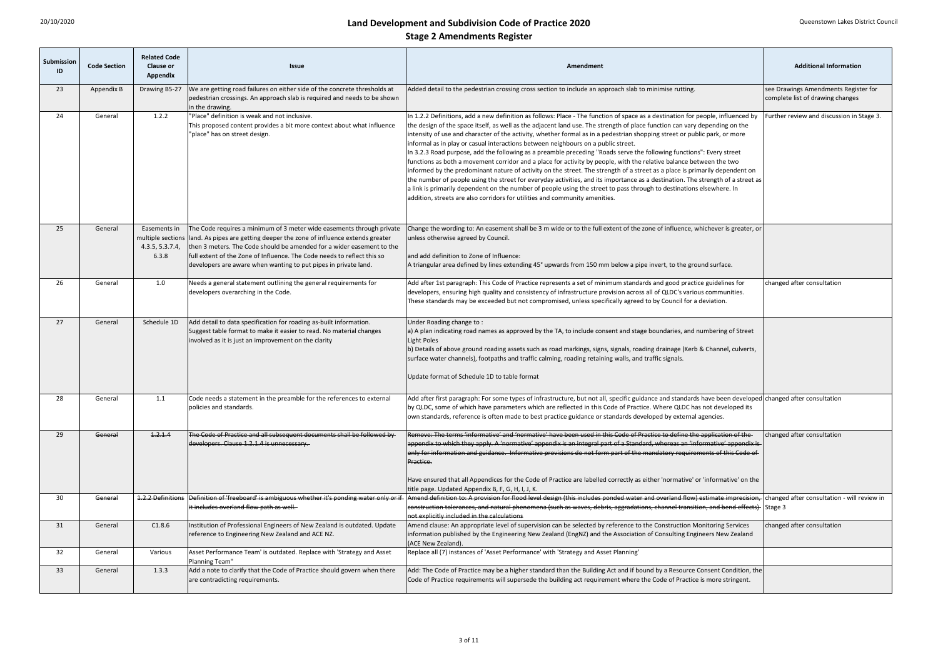| Submission<br>ID | <b>Code Section</b> | <b>Related Code</b><br><b>Clause or</b><br><b>Appendix</b> | <b>Issue</b>                                                                                                                                                                                                                                                                                                                                                                               | Amendment                                                                                                                                                                                                                                                                                                                                                                                                                                                                                                                                                                                                                                                                                                                                                                                                                                                                                                                                                                                                                                                                                                                                                                                               | <b>Additional Information</b>                                            |
|------------------|---------------------|------------------------------------------------------------|--------------------------------------------------------------------------------------------------------------------------------------------------------------------------------------------------------------------------------------------------------------------------------------------------------------------------------------------------------------------------------------------|---------------------------------------------------------------------------------------------------------------------------------------------------------------------------------------------------------------------------------------------------------------------------------------------------------------------------------------------------------------------------------------------------------------------------------------------------------------------------------------------------------------------------------------------------------------------------------------------------------------------------------------------------------------------------------------------------------------------------------------------------------------------------------------------------------------------------------------------------------------------------------------------------------------------------------------------------------------------------------------------------------------------------------------------------------------------------------------------------------------------------------------------------------------------------------------------------------|--------------------------------------------------------------------------|
| 23               | Appendix B          | Drawing B5-27                                              | We are getting road failures on either side of the concrete thresholds at<br>pedestrian crossings. An approach slab is required and needs to be shown<br>in the drawing.                                                                                                                                                                                                                   | Added detail to the pedestrian crossing cross section to include an approach slab to minimise rutting.                                                                                                                                                                                                                                                                                                                                                                                                                                                                                                                                                                                                                                                                                                                                                                                                                                                                                                                                                                                                                                                                                                  | see Drawings Amendments Register for<br>complete list of drawing changes |
| 24               | General             | 1.2.2                                                      | "Place" definition is weak and not inclusive.<br>This proposed content provides a bit more context about what influence<br>"place" has on street design.                                                                                                                                                                                                                                   | In 1.2.2 Definitions, add a new definition as follows: Place - The function of space as a destination for people, influenced by<br>the design of the space itself, as well as the adjacent land use. The strength of place function can vary depending on the<br>intensity of use and character of the activity, whether formal as in a pedestrian shopping street or public park, or more<br>informal as in play or casual interactions between neighbours on a public street.<br>In 3.2.3 Road purpose, add the following as a preamble preceding "Roads serve the following functions": Every street<br>functions as both a movement corridor and a place for activity by people, with the relative balance between the two<br>informed by the predominant nature of activity on the street. The strength of a street as a place is primarily dependent on<br>the number of people using the street for everyday activities, and its importance as a destination. The strength of a street as<br>a link is primarily dependent on the number of people using the street to pass through to destinations elsewhere. In<br>addition, streets are also corridors for utilities and community amenities. | Further review and discussion in Stage 3.                                |
| 25               | General             | Easements in<br>4.3.5, 5.3.7.4,<br>6.3.8                   | The Code requires a minimum of 3 meter wide easements through private<br>multiple sections lland. As pipes are getting deeper the zone of influence extends greater<br>then 3 meters. The Code should be amended for a wider easement to the<br>full extent of the Zone of Influence. The Code needs to reflect this so<br>developers are aware when wanting to put pipes in private land. | Change the wording to: An easement shall be 3 m wide or to the full extent of the zone of influence, whichever is greater, or<br>unless otherwise agreed by Council.<br>and add definition to Zone of Influence:<br>A triangular area defined by lines extending 45° upwards from 150 mm below a pipe invert, to the ground surface.                                                                                                                                                                                                                                                                                                                                                                                                                                                                                                                                                                                                                                                                                                                                                                                                                                                                    |                                                                          |
| 26               | General             | 1.0                                                        | Needs a general statement outlining the general requirements for<br>developers overarching in the Code.                                                                                                                                                                                                                                                                                    | Add after 1st paragraph: This Code of Practice represents a set of minimum standards and good practice guidelines for<br>developers, ensuring high quality and consistency of infrastructure provision across all of QLDC's various communities.<br>These standards may be exceeded but not compromised, unless specifically agreed to by Council for a deviation.                                                                                                                                                                                                                                                                                                                                                                                                                                                                                                                                                                                                                                                                                                                                                                                                                                      | changed after consultation                                               |
| 27               | General             | Schedule 1D                                                | Add detail to data specification for roading as-built information.<br>Suggest table format to make it easier to read. No material changes<br>involved as it is just an improvement on the clarity                                                                                                                                                                                          | Under Roading change to:<br>a) A plan indicating road names as approved by the TA, to include consent and stage boundaries, and numbering of Street<br>Light Poles<br>(b) Details of above ground roading assets such as road markings, signs, signals, roading drainage (Kerb & Channel, culverts,<br>surface water channels), footpaths and traffic calming, roading retaining walls, and traffic signals.<br>Update format of Schedule 1D to table format                                                                                                                                                                                                                                                                                                                                                                                                                                                                                                                                                                                                                                                                                                                                            |                                                                          |
| 28               | General             | 1.1                                                        | Code needs a statement in the preamble for the references to external<br>policies and standards.                                                                                                                                                                                                                                                                                           | Add after first paragraph: For some types of infrastructure, but not all, specific guidance and standards have been developed changed after consultation<br>by QLDC, some of which have parameters which are reflected in this Code of Practice. Where QLDC has not developed its<br>own standards, reference is often made to best practice guidance or standards developed by external agencies.                                                                                                                                                                                                                                                                                                                                                                                                                                                                                                                                                                                                                                                                                                                                                                                                      |                                                                          |
| 29               | General             | 1.2.1.4                                                    | The Code of Practice and all subsequent documents shall be followed by<br>developers. Clause 1.2.1.4 is unnecessary.                                                                                                                                                                                                                                                                       | Remove: The terms 'informative' and 'normative' have been used in this Code of Practice to define the application of the<br>appendix to which they apply. A 'normative' appendix is an integral part of a Standard, whereas an 'informative' appendix is-<br>only for information and guidance. Informative provisions do not form part of the mandatory requirements of this Code of<br>Practice.<br>Have ensured that all Appendices for the Code of Practice are labelled correctly as either 'normative' or 'informative' on the<br>title page. Updated Appendix B, F, G, H, I, J, K.                                                                                                                                                                                                                                                                                                                                                                                                                                                                                                                                                                                                               | changed after consultation                                               |
| 30               | General             | 1.2.2 Definitions                                          | Definition of 'freeboard' is ambiguous whether it's ponding water only or if-<br>it includes overland flow path as well.                                                                                                                                                                                                                                                                   | Amend definition to: A provision for flood level design (this includes ponded water and overland flow) estimate imprecision, changed after consultation - will review in<br>construction tolerances, and natural phenomena (such as waves, debris, aggradations, channel transition, and bend effects) Stage 3<br>not explicitly included in the calculations                                                                                                                                                                                                                                                                                                                                                                                                                                                                                                                                                                                                                                                                                                                                                                                                                                           |                                                                          |
| 31               | General             | C1.8.6                                                     | Institution of Professional Engineers of New Zealand is outdated. Update<br>reference to Engineering New Zealand and ACE NZ.                                                                                                                                                                                                                                                               | Amend clause: An appropriate level of supervision can be selected by reference to the Construction Monitoring Services<br>information published by the Engineering New Zealand (EngNZ) and the Association of Consulting Engineers New Zealand<br>(ACE New Zealand).                                                                                                                                                                                                                                                                                                                                                                                                                                                                                                                                                                                                                                                                                                                                                                                                                                                                                                                                    | changed after consultation                                               |
| 32               | General             | Various                                                    | Asset Performance Team' is outdated. Replace with 'Strategy and Asset<br>Planning Team"                                                                                                                                                                                                                                                                                                    | Replace all (7) instances of 'Asset Performance' with 'Strategy and Asset Planning'                                                                                                                                                                                                                                                                                                                                                                                                                                                                                                                                                                                                                                                                                                                                                                                                                                                                                                                                                                                                                                                                                                                     |                                                                          |
| 33               | General             | 1.3.3                                                      | Add a note to clarify that the Code of Practice should govern when there<br>are contradicting requirements.                                                                                                                                                                                                                                                                                | Add: The Code of Practice may be a higher standard than the Building Act and if bound by a Resource Consent Condition, the<br>Code of Practice requirements will supersede the building act requirement where the Code of Practice is more stringent.                                                                                                                                                                                                                                                                                                                                                                                                                                                                                                                                                                                                                                                                                                                                                                                                                                                                                                                                                   |                                                                          |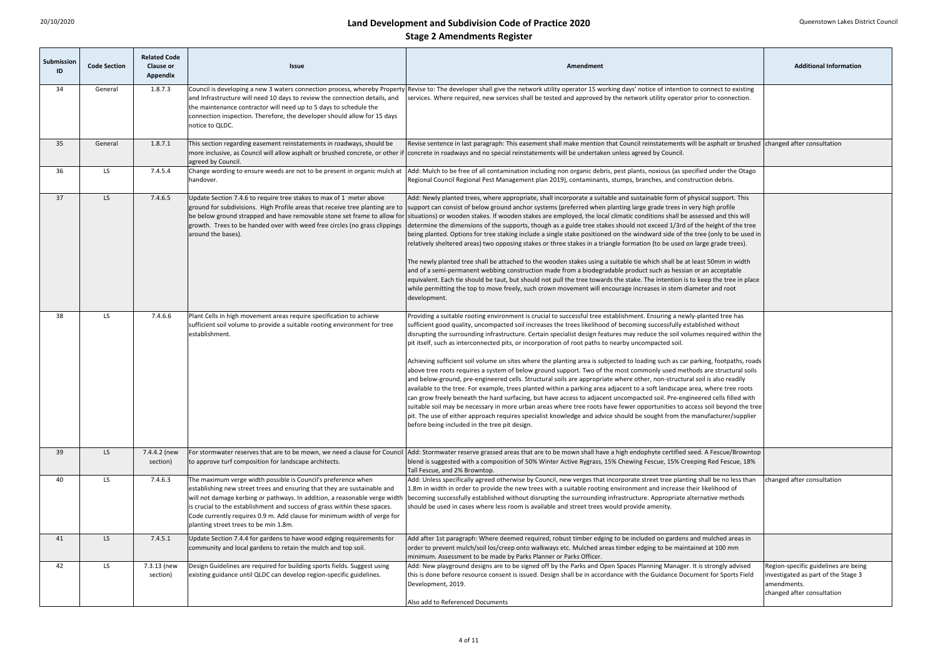| <b>Submission</b><br>ID | <b>Code Section</b> | <b>Related Code</b><br><b>Clause or</b><br><b>Appendix</b> | <b>Issue</b>                                                                                                                                                                                                                                                                                                                                                                                                              | Amendment                                                                                                                                                                                                                                                                                                                                                                                                                                                                                                                                                                                                                                                                                                                                                                                                                                                                                                                                                                                                                                                                                                                                                                                                                                                                                                                                                                                                                                                   | <b>Additional Information</b>                                                                                             |
|-------------------------|---------------------|------------------------------------------------------------|---------------------------------------------------------------------------------------------------------------------------------------------------------------------------------------------------------------------------------------------------------------------------------------------------------------------------------------------------------------------------------------------------------------------------|-------------------------------------------------------------------------------------------------------------------------------------------------------------------------------------------------------------------------------------------------------------------------------------------------------------------------------------------------------------------------------------------------------------------------------------------------------------------------------------------------------------------------------------------------------------------------------------------------------------------------------------------------------------------------------------------------------------------------------------------------------------------------------------------------------------------------------------------------------------------------------------------------------------------------------------------------------------------------------------------------------------------------------------------------------------------------------------------------------------------------------------------------------------------------------------------------------------------------------------------------------------------------------------------------------------------------------------------------------------------------------------------------------------------------------------------------------------|---------------------------------------------------------------------------------------------------------------------------|
| 34                      | General             | 1.8.7.3                                                    | and Infrastructure will need 10 days to review the connection details, and<br>the maintenance contractor will need up to 5 days to schedule the<br>connection inspection. Therefore, the developer should allow for 15 days<br>notice to QLDC.                                                                                                                                                                            | Council is developing a new 3 waters connection process, whereby Property Revise to: The developer shall give the network utility operator 15 working days' notice of intention to connect to existing<br>services. Where required, new services shall be tested and approved by the network utility operator prior to connection.                                                                                                                                                                                                                                                                                                                                                                                                                                                                                                                                                                                                                                                                                                                                                                                                                                                                                                                                                                                                                                                                                                                          |                                                                                                                           |
| 35                      | General             | 1.8.7.1                                                    | This section regarding easement reinstatements in roadways, should be<br>more inclusive, as Council will allow asphalt or brushed concrete, or other if<br>agreed by Council.                                                                                                                                                                                                                                             | Revise sentence in last paragraph: This easement shall make mention that Council reinstatements will be asphalt or brushed changed after consultation<br>concrete in roadways and no special reinstatements will be undertaken unless agreed by Council.                                                                                                                                                                                                                                                                                                                                                                                                                                                                                                                                                                                                                                                                                                                                                                                                                                                                                                                                                                                                                                                                                                                                                                                                    |                                                                                                                           |
| 36                      | LS                  | 7.4.5.4                                                    | Change wording to ensure weeds are not to be present in organic mulch at<br>handover.                                                                                                                                                                                                                                                                                                                                     | Add: Mulch to be free of all contamination including non organic debris, pest plants, noxious (as specified under the Otago<br>Regional Council Regional Pest Management plan 2019), contaminants, stumps, branches, and construction debris.                                                                                                                                                                                                                                                                                                                                                                                                                                                                                                                                                                                                                                                                                                                                                                                                                                                                                                                                                                                                                                                                                                                                                                                                               |                                                                                                                           |
| 37                      | LS                  | 7.4.6.5                                                    | Update Section 7.4.6 to require tree stakes to max of 1 meter above<br>be below ground strapped and have removable stone set frame to allow for<br>growth. Trees to be handed over with weed free circles (no grass clippings<br>around the bases).                                                                                                                                                                       | Add: Newly planted trees, where appropriate, shall incorporate a suitable and sustainable form of physical support. This<br>ground for subdivisions. High Profile areas that receive tree planting are to support can consist of below ground anchor systems (preferred when planting large grade trees in very high profile<br>situations) or wooden stakes. If wooden stakes are employed, the local climatic conditions shall be assessed and this will<br>determine the dimensions of the supports, though as a guide tree stakes should not exceed 1/3rd of the height of the tree<br>being planted. Options for tree staking include a single stake positioned on the windward side of the tree (only to be used in<br>relatively sheltered areas) two opposing stakes or three stakes in a triangle formation (to be used on large grade trees).<br>The newly planted tree shall be attached to the wooden stakes using a suitable tie which shall be at least 50mm in width<br>and of a semi-permanent webbing construction made from a biodegradable product such as hessian or an acceptable<br>equivalent. Each tie should be taut, but should not pull the tree towards the stake. The intention is to keep the tree in place<br>while permitting the top to move freely, such crown movement will encourage increases in stem diameter and root<br>development.                                                                                |                                                                                                                           |
| 38                      | LS.                 | 7.4.6.6                                                    | Plant Cells in high movement areas require specification to achieve<br>sufficient soil volume to provide a suitable rooting environment for tree<br>establishment.                                                                                                                                                                                                                                                        | Providing a suitable rooting environment is crucial to successful tree establishment. Ensuring a newly-planted tree has<br>sufficient good quality, uncompacted soil increases the trees likelihood of becoming successfully established without<br>disrupting the surrounding infrastructure. Certain specialist design features may reduce the soil volumes required within the<br>pit itself, such as interconnected pits, or incorporation of root paths to nearby uncompacted soil.<br>Achieving sufficient soil volume on sites where the planting area is subjected to loading such as car parking, footpaths, roads<br>above tree roots requires a system of below ground support. Two of the most commonly used methods are structural soils<br>and below-ground, pre-engineered cells. Structural soils are appropriate where other, non-structural soil is also readily<br>available to the tree. For example, trees planted within a parking area adjacent to a soft landscape area, where tree roots<br>can grow freely beneath the hard surfacing, but have access to adjacent uncompacted soil. Pre-engineered cells filled with<br>suitable soil may be necessary in more urban areas where tree roots have fewer opportunities to access soil beyond the tree<br>pit. The use of either approach requires specialist knowledge and advice should be sought from the manufacturer/supplier<br>before being included in the tree pit design. |                                                                                                                           |
| 39                      | LS                  | 7.4.4.2 (new<br>section)                                   | For stormwater reserves that are to be mown, we need a clause for Council<br>to approve turf composition for landscape architects.                                                                                                                                                                                                                                                                                        | Add: Stormwater reserve grassed areas that are to be mown shall have a high endophyte certified seed. A Fescue/Browntop<br>blend is suggested with a composition of 50% Winter Active Rygrass, 15% Chewing Fescue, 15% Creeping Red Fescue, 18%<br>Tall Fescue, and 2% Browntop.                                                                                                                                                                                                                                                                                                                                                                                                                                                                                                                                                                                                                                                                                                                                                                                                                                                                                                                                                                                                                                                                                                                                                                            |                                                                                                                           |
| 40                      | LS                  | 7.4.6.3                                                    | The maximum verge width possible is Council's preference when<br>establishing new street trees and ensuring that they are sustainable and<br>will not damage kerbing or pathways. In addition, a reasonable verge width<br>is crucial to the establishment and success of grass within these spaces.<br>Code currently requires 0.9 m. Add clause for minimum width of verge for<br>planting street trees to be min 1.8m. | Add: Unless specifically agreed otherwise by Council, new verges that incorporate street tree planting shall be no less than<br>1.8m in width in order to provide the new trees with a suitable rooting environment and increase their likelihood of<br>becoming successfully established without disrupting the surrounding infrastructure. Appropriate alternative methods<br>should be used in cases where less room is available and street trees would provide amenity.                                                                                                                                                                                                                                                                                                                                                                                                                                                                                                                                                                                                                                                                                                                                                                                                                                                                                                                                                                                | changed after consultation                                                                                                |
| 41                      | LS -                | 7.4.5.1                                                    | Update Section 7.4.4 for gardens to have wood edging requirements for<br>community and local gardens to retain the mulch and top soil.                                                                                                                                                                                                                                                                                    | Add after 1st paragraph: Where deemed required, robust timber edging to be included on gardens and mulched areas in<br>order to prevent mulch/soil los/creep onto walkways etc. Mulched areas timber edging to be maintained at 100 mm<br>minimum. Assessment to be made by Parks Planner or Parks Officer.                                                                                                                                                                                                                                                                                                                                                                                                                                                                                                                                                                                                                                                                                                                                                                                                                                                                                                                                                                                                                                                                                                                                                 |                                                                                                                           |
| 42                      | LS -                | 7.3.13 (new<br>section)                                    | Design Guidelines are required for building sports fields. Suggest using<br>existing guidance until QLDC can develop region-specific guidelines.                                                                                                                                                                                                                                                                          | Add: New playground designs are to be signed off by the Parks and Open Spaces Planning Manager. It is strongly advised<br>this is done before resource consent is issued. Design shall be in accordance with the Guidance Document for Sports Field<br>Development, 2019.<br>Also add to Referenced Documents                                                                                                                                                                                                                                                                                                                                                                                                                                                                                                                                                                                                                                                                                                                                                                                                                                                                                                                                                                                                                                                                                                                                               | Region-specific guidelines are being<br>investigated as part of the Stage 3<br>lamendments.<br>changed after consultation |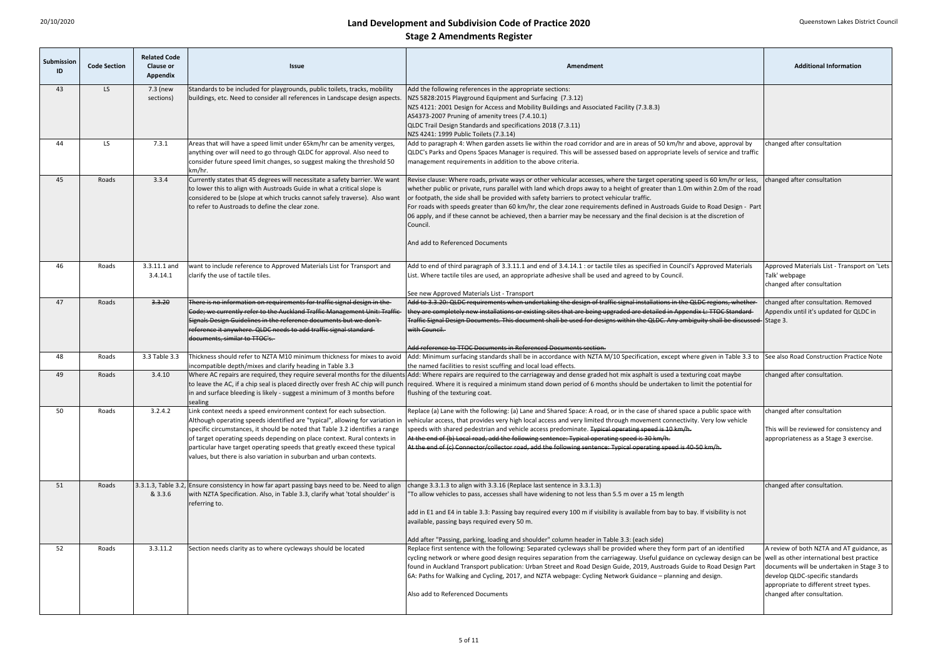| Submission<br>ID | <b>Code Section</b> | <b>Related Code</b><br><b>Clause or</b><br><b>Appendix</b> | <b>Issue</b>                                                                                                                                                                                                                                                                                                                                                                                                                                                                                                                                                                                                                                                       | <b>Additional Information</b><br>Amendment                                                                                                                                                                                                                                                                                                                                                                                                                                                                                                                                                                                                                         |                                                                                                                                                                                                     |
|------------------|---------------------|------------------------------------------------------------|--------------------------------------------------------------------------------------------------------------------------------------------------------------------------------------------------------------------------------------------------------------------------------------------------------------------------------------------------------------------------------------------------------------------------------------------------------------------------------------------------------------------------------------------------------------------------------------------------------------------------------------------------------------------|--------------------------------------------------------------------------------------------------------------------------------------------------------------------------------------------------------------------------------------------------------------------------------------------------------------------------------------------------------------------------------------------------------------------------------------------------------------------------------------------------------------------------------------------------------------------------------------------------------------------------------------------------------------------|-----------------------------------------------------------------------------------------------------------------------------------------------------------------------------------------------------|
| 43               | LS -                | 7.3 (new<br>sections)                                      | Standards to be included for playgrounds, public toilets, tracks, mobility<br>buildings, etc. Need to consider all references in Landscape design aspects.                                                                                                                                                                                                                                                                                                                                                                                                                                                                                                         | Add the following references in the appropriate sections:<br>NZS 5828:2015 Playground Equipment and Surfacing (7.3.12)<br>NZS 4121: 2001 Design for Access and Mobility Buildings and Associated Facility (7.3.8.3)<br>AS4373-2007 Pruning of amenity trees (7.4.10.1)<br>QLDC Trail Design Standards and specifications 2018 (7.3.11)<br>NZS 4241: 1999 Public Toilets (7.3.14)                                                                                                                                                                                                                                                                                   |                                                                                                                                                                                                     |
| 44               | LS.                 | 7.3.1                                                      | Areas that will have a speed limit under 65km/hr can be amenity verges,<br>anything over will need to go through QLDC for approval. Also need to<br>consider future speed limit changes, so suggest making the threshold 50<br>km/hr.                                                                                                                                                                                                                                                                                                                                                                                                                              | Add to paragraph 4: When garden assets lie within the road corridor and are in areas of 50 km/hr and above, approval by<br>QLDC's Parks and Opens Spaces Manager is required. This will be assessed based on appropriate levels of service and traffic<br>management requirements in addition to the above criteria.                                                                                                                                                                                                                                                                                                                                               | changed after consultation                                                                                                                                                                          |
| 45               | Roads               | 3.3.4                                                      | Currently states that 45 degrees will necessitate a safety barrier. We want<br>to lower this to align with Austroads Guide in what a critical slope is<br>considered to be (slope at which trucks cannot safely traverse). Also want<br>to refer to Austroads to define the clear zone.                                                                                                                                                                                                                                                                                                                                                                            | Revise clause: Where roads, private ways or other vehicular accesses, where the target operating speed is 60 km/hr or less,<br>whether public or private, runs parallel with land which drops away to a height of greater than 1.0m within 2.0m of the road<br>or footpath, the side shall be provided with safety barriers to protect vehicular traffic.<br>For roads with speeds greater than 60 km/hr, the clear zone requirements defined in Austroads Guide to Road Design - Part<br>06 apply, and if these cannot be achieved, then a barrier may be necessary and the final decision is at the discretion of<br>Council.<br>And add to Referenced Documents | changed after consultation                                                                                                                                                                          |
| 46               | Roads               | 3.3.11.1 and<br>3.4.14.1                                   | want to include reference to Approved Materials List for Transport and<br>clarify the use of tactile tiles.                                                                                                                                                                                                                                                                                                                                                                                                                                                                                                                                                        | Add to end of third paragraph of 3.3.11.1 and end of 3.4.14.1 : or tactile tiles as specified in Council's Approved Materials<br>List. Where tactile tiles are used, an appropriate adhesive shall be used and agreed to by Council.<br>See new Approved Materials List - Transport                                                                                                                                                                                                                                                                                                                                                                                | Approved Materials List - Transport on 'Lets<br>Talk' webpage<br>changed after consultation                                                                                                         |
| 47               | Roads               | 3.3.20                                                     | There is no information on requirements for traffic signal design in the-<br>Code; we currently refer to the Auckland Traffic Management Unit: Traffic-<br>Signals Design Guidelines in the reference documents but we don't<br>reference it anywhere. QLDC needs to add traffic signal standard-<br>documents, similar to TTOC's.                                                                                                                                                                                                                                                                                                                                 | Add to 3.3.20: QLDC requirements when undertaking the design of traffic signal installations in the QLDC regions, whether<br>they are completely new installations or existing sites that are being upgraded are detailed in Appendix L: TTOC Standard-<br>Traffic Signal Design Documents. This document shall be used for designs within the QLDC. Any ambiguity shall be discussed- Stage 3.<br>with Council.<br>Add reference to TTOC Documents in Referenced Documents section.                                                                                                                                                                               | changed after consultation. Removed<br>Appendix until it's updated for QLDC in                                                                                                                      |
| 48               | Roads               | 3.3 Table 3.3                                              | Thickness should refer to NZTA M10 minimum thickness for mixes to avoid<br>incompatible depth/mixes and clarify heading in Table 3.3                                                                                                                                                                                                                                                                                                                                                                                                                                                                                                                               | Add: Minimum surfacing standards shall be in accordance with NZTA M/10 Specification, except where given in Table 3.3 to See also Road Construction Practice Note<br>the named facilities to resist scuffing and local load effects.                                                                                                                                                                                                                                                                                                                                                                                                                               |                                                                                                                                                                                                     |
| 49               | Roads               | 3.4.10                                                     | to leave the AC, if a chip seal is placed directly over fresh AC chip will punch<br>in and surface bleeding is likely - suggest a minimum of 3 months before<br>sealing                                                                                                                                                                                                                                                                                                                                                                                                                                                                                            | Where AC repairs are required, they require several months for the diluents Add: Where repairs are required to the carriageway and dense graded hot mix asphalt is used a texturing coat maybe<br>required. Where it is required a minimum stand down period of 6 months should be undertaken to limit the potential for<br>flushing of the texturing coat.                                                                                                                                                                                                                                                                                                        | changed after consultation.                                                                                                                                                                         |
| 50               | Roads               | 3.2.4.2                                                    | Link context needs a speed environment context for each subsection.<br>Although operating speeds identified are "typical", allowing for variation in<br>specific circumstances, it should be noted that Table 3.2 identifies a range<br>of target operating speeds depending on place context. Rural contexts in<br>particular have target operating speeds that greatly exceed these typical<br>values, but there is also variation in suburban and urban contexts.                                                                                                                                                                                               | Replace (a) Lane with the following: (a) Lane and Shared Space: A road, or in the case of shared space a public space with<br>vehicular access, that provides very high local access and very limited through movement connectivity. Very low vehicle<br>speeds with shared pedestrian and vehicle access predominate. <del>Typical operating speed is 10 km/h.</del><br>At the end of (b) Local road, add the following sentence: Typical operating speed is 30 km/h.<br>At the end of (c) Connector/collector road, add the following sentence: Typical operating speed is 40-50 km/h.                                                                           | changed after consultation<br>This will be reviewed for consistency and<br>appropriateness as a Stage 3 exercise.                                                                                   |
| 51               | Roads               | & 3.3.6                                                    | [3.3.1.3, Table 3.2, Ensure consistency in how far apart passing bays need to be. Need to align<br>change 3.3.1.3 to align with 3.3.16 (Replace last sentence in 3.3.1.3)<br>with NZTA Specification. Also, in Table 3.3, clarify what 'total shoulder' is<br>To allow vehicles to pass, accesses shall have widening to not less than 5.5 m over a 15 m length<br>referring to.<br>add in E1 and E4 in table 3.3: Passing bay required every 100 m if visibility is available from bay to bay. If visibility is not<br>available, passing bays required every 50 m.<br>Add after "Passing, parking, loading and shoulder" column header in Table 3.3: (each side) |                                                                                                                                                                                                                                                                                                                                                                                                                                                                                                                                                                                                                                                                    | changed after consultation.                                                                                                                                                                         |
| 52               | Roads               | 3.3.11.2                                                   | Section needs clarity as to where cycleways should be located                                                                                                                                                                                                                                                                                                                                                                                                                                                                                                                                                                                                      | Replace first sentence with the following: Separated cycleways shall be provided where they form part of an identified<br>cycling network or where good design requires separation from the carriageway. Useful guidance on cycleway design can be well as other international best practice<br>found in Auckland Transport publication: Urban Street and Road Design Guide, 2019, Austroads Guide to Road Design Part<br>6A: Paths for Walking and Cycling, 2017, and NZTA webpage: Cycling Network Guidance - planning and design.<br>Also add to Referenced Documents                                                                                           | A review of both NZTA and AT guidance, as<br>documents will be undertaken in Stage 3 to<br>develop QLDC-specific standards<br>appropriate to different street types.<br>changed after consultation. |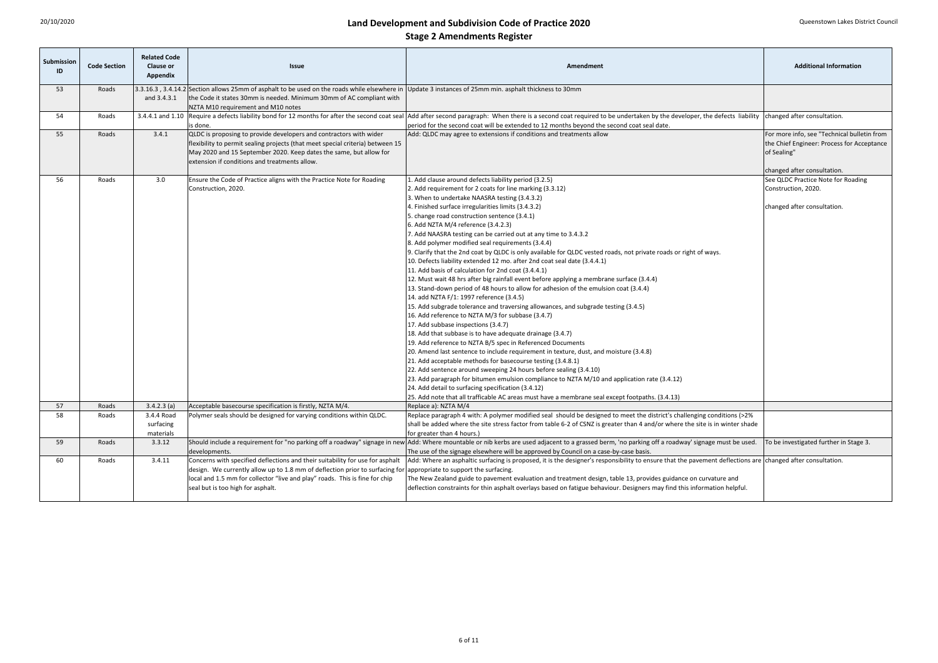| Submission<br>ID | <b>Code Section</b> | <b>Related Code</b><br><b>Clause or</b><br><b>Appendix</b> | <b>Issue</b>                                                                                                                                                                                                                                                                                                            | Amendment                                                                                                                                                                                                                                                                                                                                                                                                                                                                                                                                                                                                                                                                                                                                                                                                                                                                                                                                                                                                                                                                                                                                                                                                                                                                                                                                                                                                                                                                                                                                                                                                                        | <b>Additional Information</b>                                                                                                           |
|------------------|---------------------|------------------------------------------------------------|-------------------------------------------------------------------------------------------------------------------------------------------------------------------------------------------------------------------------------------------------------------------------------------------------------------------------|----------------------------------------------------------------------------------------------------------------------------------------------------------------------------------------------------------------------------------------------------------------------------------------------------------------------------------------------------------------------------------------------------------------------------------------------------------------------------------------------------------------------------------------------------------------------------------------------------------------------------------------------------------------------------------------------------------------------------------------------------------------------------------------------------------------------------------------------------------------------------------------------------------------------------------------------------------------------------------------------------------------------------------------------------------------------------------------------------------------------------------------------------------------------------------------------------------------------------------------------------------------------------------------------------------------------------------------------------------------------------------------------------------------------------------------------------------------------------------------------------------------------------------------------------------------------------------------------------------------------------------|-----------------------------------------------------------------------------------------------------------------------------------------|
| 53               | Roads               | and 3.4.3.1                                                | 3.3.16.3, 3.4.14.2 Section allows 25mm of asphalt to be used on the roads while elsewhere in Update 3 instances of 25mm min. asphalt thickness to 30mm<br>the Code it states 30mm is needed. Minimum 30mm of AC compliant with<br>NZTA M10 requirement and M10 notes                                                    |                                                                                                                                                                                                                                                                                                                                                                                                                                                                                                                                                                                                                                                                                                                                                                                                                                                                                                                                                                                                                                                                                                                                                                                                                                                                                                                                                                                                                                                                                                                                                                                                                                  |                                                                                                                                         |
| 54               | Roads               | 3.4.4.1 and 1.10                                           | is done.                                                                                                                                                                                                                                                                                                                | Require a defects liability bond for 12 months for after the second coat seal Add after second paragraph: When there is a second coat required to be undertaken by the developer, the defects liability changed after consulta<br>period for the second coat will be extended to 12 months beyond the second coat seal date.                                                                                                                                                                                                                                                                                                                                                                                                                                                                                                                                                                                                                                                                                                                                                                                                                                                                                                                                                                                                                                                                                                                                                                                                                                                                                                     |                                                                                                                                         |
| 55               | Roads               | 3.4.1                                                      | QLDC is proposing to provide developers and contractors with wider<br>Iflexibility to permit sealing projects (that meet special criteria) between 15<br>May 2020 and 15 September 2020. Keep dates the same, but allow for<br>extension if conditions and treatments allow.                                            | Add: QLDC may agree to extensions if conditions and treatments allow                                                                                                                                                                                                                                                                                                                                                                                                                                                                                                                                                                                                                                                                                                                                                                                                                                                                                                                                                                                                                                                                                                                                                                                                                                                                                                                                                                                                                                                                                                                                                             | For more info, see "Technical bulletin from<br>the Chief Engineer: Process for Acceptance<br>of Sealing"<br>changed after consultation. |
| 56               | Roads               | 3.0                                                        | Ensure the Code of Practice aligns with the Practice Note for Roading<br>Construction, 2020.                                                                                                                                                                                                                            | L. Add clause around defects liability period (3.2.5)<br>2. Add requirement for 2 coats for line marking (3.3.12)<br>3. When to undertake NAASRA testing (3.4.3.2)<br>4. Finished surface irregularities limits (3.4.3.2)<br>5. change road construction sentence (3.4.1)<br>6. Add NZTA M/4 reference (3.4.2.3)<br>7. Add NAASRA testing can be carried out at any time to 3.4.3.2<br>8. Add polymer modified seal requirements (3.4.4)<br>9. Clarify that the 2nd coat by QLDC is only available for QLDC vested roads, not private roads or right of ways.<br>10. Defects liability extended 12 mo. after 2nd coat seal date (3.4.4.1)<br>11. Add basis of calculation for 2nd coat (3.4.4.1)<br>12. Must wait 48 hrs after big rainfall event before applying a membrane surface (3.4.4)<br>13. Stand-down period of 48 hours to allow for adhesion of the emulsion coat (3.4.4)<br>14. add NZTA F/1: 1997 reference (3.4.5)<br>15. Add subgrade tolerance and traversing allowances, and subgrade testing (3.4.5)<br>16. Add reference to NZTA M/3 for subbase (3.4.7)<br>17. Add subbase inspections (3.4.7)<br>18. Add that subbase is to have adequate drainage (3.4.7)<br>19. Add reference to NZTA B/5 spec in Referenced Documents<br>20. Amend last sentence to include requirement in texture, dust, and moisture (3.4.8)<br>21. Add acceptable methods for basecourse testing (3.4.8.1)<br>22. Add sentence around sweeping 24 hours before sealing (3.4.10)<br>23. Add paragraph for bitumen emulsion compliance to NZTA M/10 and application rate (3.4.12)<br>24. Add detail to surfacing specification (3.4.12) | See QLDC Practice Note for Roading<br>Construction, 2020.<br>changed after consultation.                                                |
| 57               | Roads               | $3.4.2.3$ (a)                                              | Acceptable basecourse specification is firstly, NZTA M/4.                                                                                                                                                                                                                                                               | 25. Add note that all trafficable AC areas must have a membrane seal except footpaths. (3.4.13)<br>Replace a): NZTA M/4                                                                                                                                                                                                                                                                                                                                                                                                                                                                                                                                                                                                                                                                                                                                                                                                                                                                                                                                                                                                                                                                                                                                                                                                                                                                                                                                                                                                                                                                                                          |                                                                                                                                         |
| 58               | Roads               | 3.4.4 Road<br>surfacing<br>materials                       | Polymer seals should be designed for varying conditions within QLDC.                                                                                                                                                                                                                                                    | Replace paragraph 4 with: A polymer modified seal should be designed to meet the district's challenging conditions (>2%<br>shall be added where the site stress factor from table 6-2 of CSNZ is greater than 4 and/or where the site is in winter shade<br>for greater than 4 hours.)                                                                                                                                                                                                                                                                                                                                                                                                                                                                                                                                                                                                                                                                                                                                                                                                                                                                                                                                                                                                                                                                                                                                                                                                                                                                                                                                           |                                                                                                                                         |
| 59               | Roads               | 3.3.12                                                     | developments.                                                                                                                                                                                                                                                                                                           | Should include a requirement for "no parking off a roadway" signage in new Add: Where mountable or nib kerbs are used adjacent to a grassed berm, 'no parking off a roadway' signage must be used.<br>The use of the signage elsewhere will be approved by Council on a case-by-case basis.                                                                                                                                                                                                                                                                                                                                                                                                                                                                                                                                                                                                                                                                                                                                                                                                                                                                                                                                                                                                                                                                                                                                                                                                                                                                                                                                      | To be investigated further in Stage 3.                                                                                                  |
| 60               | Roads               | 3.4.11                                                     | Concerns with specified deflections and their suitability for use for asphalt<br>design. We currently allow up to 1.8 mm of deflection prior to surfacing for appropriate to support the surfacing.<br>local and 1.5 mm for collector "live and play" roads. This is fine for chip<br>seal but is too high for asphalt. | Add: Where an asphaltic surfacing is proposed, it is the designer's responsibility to ensure that the pavement deflections are changed after consultation.<br>The New Zealand guide to pavement evaluation and treatment design, table 13, provides guidance on curvature and<br>deflection constraints for thin asphalt overlays based on fatigue behaviour. Designers may find this information helpful.                                                                                                                                                                                                                                                                                                                                                                                                                                                                                                                                                                                                                                                                                                                                                                                                                                                                                                                                                                                                                                                                                                                                                                                                                       |                                                                                                                                         |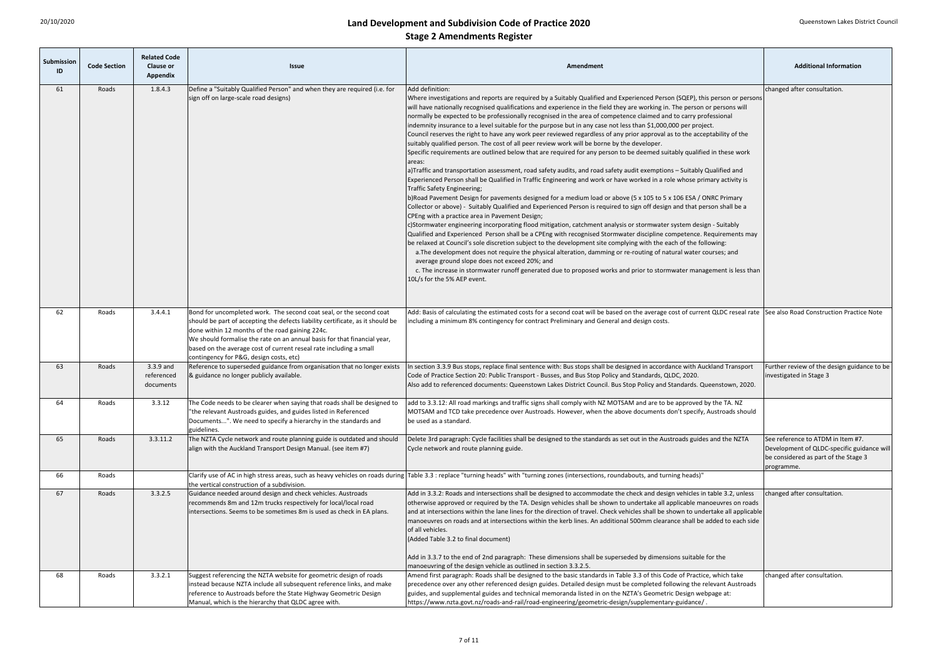| Submission<br>ID | <b>Code Section</b> | <b>Related Code</b><br><b>Clause or</b><br>Appendix | <b>Issue</b>                                                                                                                                                                                                                                                                                                                                                                                          | Amendment                                                                                                                                                                                                                                                                                                                                                                                                                                                                                                                                                                                                                                                                                                                                                                                                                                                                                                                                                                                                                                                                                                                                                                                                                                                                                                                                                                                                                                                                                                                                                                                                                                                                                                                                                                                                                                                                                                                                                                                                                                                                                                                                                                  |                                                                                                                                       |
|------------------|---------------------|-----------------------------------------------------|-------------------------------------------------------------------------------------------------------------------------------------------------------------------------------------------------------------------------------------------------------------------------------------------------------------------------------------------------------------------------------------------------------|----------------------------------------------------------------------------------------------------------------------------------------------------------------------------------------------------------------------------------------------------------------------------------------------------------------------------------------------------------------------------------------------------------------------------------------------------------------------------------------------------------------------------------------------------------------------------------------------------------------------------------------------------------------------------------------------------------------------------------------------------------------------------------------------------------------------------------------------------------------------------------------------------------------------------------------------------------------------------------------------------------------------------------------------------------------------------------------------------------------------------------------------------------------------------------------------------------------------------------------------------------------------------------------------------------------------------------------------------------------------------------------------------------------------------------------------------------------------------------------------------------------------------------------------------------------------------------------------------------------------------------------------------------------------------------------------------------------------------------------------------------------------------------------------------------------------------------------------------------------------------------------------------------------------------------------------------------------------------------------------------------------------------------------------------------------------------------------------------------------------------------------------------------------------------|---------------------------------------------------------------------------------------------------------------------------------------|
| 61               | Roads               | 1.8.4.3                                             | Define a "Suitably Qualified Person" and when they are required (i.e. for<br>sign off on large-scale road designs)                                                                                                                                                                                                                                                                                    | Add definition:<br>Where investigations and reports are required by a Suitably Qualified and Experienced Person (SQEP), this person or persons<br>will have nationally recognised qualifications and experience in the field they are working in. The person or persons will<br>normally be expected to be professionally recognised in the area of competence claimed and to carry professional<br>indemnity insurance to a level suitable for the purpose but in any case not less than \$1,000,000 per project.<br>Council reserves the right to have any work peer reviewed regardless of any prior approval as to the acceptability of the<br>suitably qualified person. The cost of all peer review work will be borne by the developer.<br>Specific requirements are outlined below that are required for any person to be deemed suitably qualified in these work<br>lareas:<br>a)Traffic and transportation assessment, road safety audits, and road safety audit exemptions - Suitably Qualified and<br>Experienced Person shall be Qualified in Traffic Engineering and work or have worked in a role whose primary activity is<br>Traffic Safety Engineering;<br>b)Road Pavement Design for pavements designed for a medium load or above (5 x 105 to 5 x 106 ESA / ONRC Primary<br>Collector or above) - Suitably Qualified and Experienced Person is required to sign off design and that person shall be a<br>CPEng with a practice area in Pavement Design;<br>c)Stormwater engineering incorporating flood mitigation, catchment analysis or stormwater system design - Suitably<br>Qualified and Experienced Person shall be a CPEng with recognised Stormwater discipline competence. Requirements may<br>be relaxed at Council's sole discretion subject to the development site complying with the each of the following:<br>a. The development does not require the physical alteration, damming or re-routing of natural water courses; and<br>average ground slope does not exceed 20%; and<br>c. The increase in stormwater runoff generated due to proposed works and prior to stormwater management is less than<br>10L/s for the 5% AEP event. | changed after consultation.                                                                                                           |
| 62               | Roads               | 3.4.4.1                                             | Bond for uncompleted work. The second coat seal, or the second coat<br>should be part of accepting the defects liability certificate, as it should be<br>done within 12 months of the road gaining 224c.<br>We should formalise the rate on an annual basis for that financial year,<br>based on the average cost of current reseal rate including a small<br>contingency for P&G, design costs, etc) | Add: Basis of calculating the estimated costs for a second coat will be based on the average cost of current QLDC reseal rate See also Road Construction Practice Note<br>including a minimum 8% contingency for contract Preliminary and General and design costs.                                                                                                                                                                                                                                                                                                                                                                                                                                                                                                                                                                                                                                                                                                                                                                                                                                                                                                                                                                                                                                                                                                                                                                                                                                                                                                                                                                                                                                                                                                                                                                                                                                                                                                                                                                                                                                                                                                        |                                                                                                                                       |
| 63               | Roads               | 3.3.9 and<br>referenced<br>documents                | Reference to superseded guidance from organisation that no longer exists<br>& guidance no longer publicly available.                                                                                                                                                                                                                                                                                  | In section 3.3.9 Bus stops, replace final sentence with: Bus stops shall be designed in accordance with Auckland Transport<br>Code of Practice Section 20: Public Transport - Busses, and Bus Stop Policy and Standards, QLDC, 2020.<br>Also add to referenced documents: Queenstown Lakes District Council. Bus Stop Policy and Standards. Queenstown, 2020.                                                                                                                                                                                                                                                                                                                                                                                                                                                                                                                                                                                                                                                                                                                                                                                                                                                                                                                                                                                                                                                                                                                                                                                                                                                                                                                                                                                                                                                                                                                                                                                                                                                                                                                                                                                                              | Further review of the design guidance to be<br>investigated in Stage 3                                                                |
| 64               | Roads               | 3.3.12                                              | The Code needs to be clearer when saying that roads shall be designed to<br>"the relevant Austroads guides, and guides listed in Referenced<br>Documents". We need to specify a hierarchy in the standards and<br>guidelines.                                                                                                                                                                         | add to 3.3.12: All road markings and traffic signs shall comply with NZ MOTSAM and are to be approved by the TA. NZ<br>MOTSAM and TCD take precedence over Austroads. However, when the above documents don't specify, Austroads should<br>be used as a standard.                                                                                                                                                                                                                                                                                                                                                                                                                                                                                                                                                                                                                                                                                                                                                                                                                                                                                                                                                                                                                                                                                                                                                                                                                                                                                                                                                                                                                                                                                                                                                                                                                                                                                                                                                                                                                                                                                                          |                                                                                                                                       |
| 65               | Roads               | 3.3.11.2                                            | The NZTA Cycle network and route planning guide is outdated and should<br>align with the Auckland Transport Design Manual. (see item #7)                                                                                                                                                                                                                                                              | Delete 3rd paragraph: Cycle facilities shall be designed to the standards as set out in the Austroads guides and the NZTA<br>Cycle network and route planning guide.                                                                                                                                                                                                                                                                                                                                                                                                                                                                                                                                                                                                                                                                                                                                                                                                                                                                                                                                                                                                                                                                                                                                                                                                                                                                                                                                                                                                                                                                                                                                                                                                                                                                                                                                                                                                                                                                                                                                                                                                       | See reference to ATDM in Item #7.<br>Development of QLDC-specific guidance will<br>be considered as part of the Stage 3<br>programme. |
| 66               | Roads               |                                                     | the vertical construction of a subdivision.                                                                                                                                                                                                                                                                                                                                                           | Clarify use of AC in high stress areas, such as heavy vehicles on roads during  Table 3.3 : replace "turning heads" with "turning zones (intersections, roundabouts, and turning heads)"                                                                                                                                                                                                                                                                                                                                                                                                                                                                                                                                                                                                                                                                                                                                                                                                                                                                                                                                                                                                                                                                                                                                                                                                                                                                                                                                                                                                                                                                                                                                                                                                                                                                                                                                                                                                                                                                                                                                                                                   |                                                                                                                                       |
| 67               | Roads               | 3.3.2.5                                             | Guidance needed around design and check vehicles. Austroads<br>recommends 8m and 12m trucks respectively for local/local road<br>intersections. Seems to be sometimes 8m is used as check in EA plans.                                                                                                                                                                                                | Add in 3.3.2: Roads and intersections shall be designed to accommodate the check and design vehicles in table 3.2, unless<br>otherwise approved or required by the TA. Design vehicles shall be shown to undertake all applicable manoeuvres on roads<br>and at intersections within the lane lines for the direction of travel. Check vehicles shall be shown to undertake all applicable<br>manoeuvres on roads and at intersections within the kerb lines. An additional 500mm clearance shall be added to each side<br>of all vehicles.<br>(Added Table 3.2 to final document)                                                                                                                                                                                                                                                                                                                                                                                                                                                                                                                                                                                                                                                                                                                                                                                                                                                                                                                                                                                                                                                                                                                                                                                                                                                                                                                                                                                                                                                                                                                                                                                         | changed after consultation.                                                                                                           |
|                  |                     |                                                     |                                                                                                                                                                                                                                                                                                                                                                                                       | Add in 3.3.7 to the end of 2nd paragraph: These dimensions shall be superseded by dimensions suitable for the<br>manoeuvring of the design vehicle as outlined in section 3.3.2.5.                                                                                                                                                                                                                                                                                                                                                                                                                                                                                                                                                                                                                                                                                                                                                                                                                                                                                                                                                                                                                                                                                                                                                                                                                                                                                                                                                                                                                                                                                                                                                                                                                                                                                                                                                                                                                                                                                                                                                                                         |                                                                                                                                       |
| 68               | Roads               | 3.3.2.1                                             | Suggest referencing the NZTA website for geometric design of roads<br>instead because NZTA include all subsequent reference links, and make<br>reference to Austroads before the State Highway Geometric Design<br>Manual, which is the hierarchy that QLDC agree with.                                                                                                                               | Amend first paragraph: Roads shall be designed to the basic standards in Table 3.3 of this Code of Practice, which take<br>precedence over any other referenced design guides. Detailed design must be completed following the relevant Austroads<br>guides, and supplemental guides and technical memoranda listed in on the NZTA's Geometric Design webpage at:<br>https://www.nzta.govt.nz/roads-and-rail/road-engineering/geometric-design/supplementary-guidance/                                                                                                                                                                                                                                                                                                                                                                                                                                                                                                                                                                                                                                                                                                                                                                                                                                                                                                                                                                                                                                                                                                                                                                                                                                                                                                                                                                                                                                                                                                                                                                                                                                                                                                     | changed after consultation.                                                                                                           |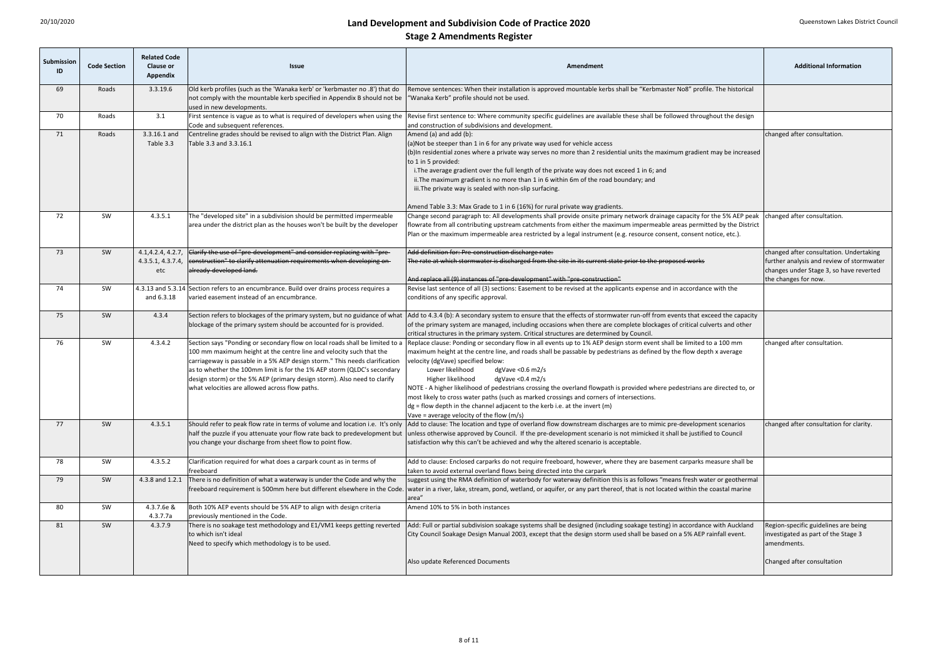| Submission<br>ID | <b>Code Section</b> | <b>Related Code</b><br><b>Clause or</b><br><b>Appendix</b> | <b>Issue</b>                                                                                                                                                                                                                                                                                                                                                                                                                                | Amendment                                                                                                                                                                                                                                                                                                                                                                                                                                                                                                                                                                                                                                                                                                                          | <b>Additional Information</b>                                                                                                                           |
|------------------|---------------------|------------------------------------------------------------|---------------------------------------------------------------------------------------------------------------------------------------------------------------------------------------------------------------------------------------------------------------------------------------------------------------------------------------------------------------------------------------------------------------------------------------------|------------------------------------------------------------------------------------------------------------------------------------------------------------------------------------------------------------------------------------------------------------------------------------------------------------------------------------------------------------------------------------------------------------------------------------------------------------------------------------------------------------------------------------------------------------------------------------------------------------------------------------------------------------------------------------------------------------------------------------|---------------------------------------------------------------------------------------------------------------------------------------------------------|
| 69               | Roads               | 3.3.19.6                                                   | Old kerb profiles (such as the 'Wanaka kerb' or 'kerbmaster no .8') that do<br>not comply with the mountable kerb specified in Appendix B should not be<br>used in new developments.                                                                                                                                                                                                                                                        | Remove sentences: When their installation is approved mountable kerbs shall be "Kerbmaster No8" profile. The historical<br>'Wanaka Kerb" profile should not be used.                                                                                                                                                                                                                                                                                                                                                                                                                                                                                                                                                               |                                                                                                                                                         |
| 70               | Roads               | 3.1                                                        | First sentence is vague as to what is required of developers when using the<br>Code and subsequent references.                                                                                                                                                                                                                                                                                                                              | Revise first sentence to: Where community specific guidelines are available these shall be followed throughout the design<br>and construction of subdivisions and development.                                                                                                                                                                                                                                                                                                                                                                                                                                                                                                                                                     |                                                                                                                                                         |
| 71               | Roads               | 3.3.16.1 and<br>Table 3.3                                  | Centreline grades should be revised to align with the District Plan. Align<br>Table 3.3 and 3.3.16.1                                                                                                                                                                                                                                                                                                                                        | Amend (a) and add (b):<br>(a)Not be steeper than 1 in 6 for any private way used for vehicle access<br>(b)In residential zones where a private way serves no more than 2 residential units the maximum gradient may be increased<br>to 1 in 5 provided:<br>i. The average gradient over the full length of the private way does not exceed 1 in 6; and<br>ii. The maximum gradient is no more than 1 in 6 within 6m of the road boundary; and<br>iii. The private way is sealed with non-slip surfacing.<br>Amend Table 3.3: Max Grade to 1 in 6 (16%) for rural private way gradients.                                                                                                                                            | changed after consultation.                                                                                                                             |
| 72               | SW                  | 4.3.5.1                                                    | The "developed site" in a subdivision should be permitted impermeable<br>area under the district plan as the houses won't be built by the developer                                                                                                                                                                                                                                                                                         | Change second paragraph to: All developments shall provide onsite primary network drainage capacity for the 5% AEP peak<br>flowrate from all contributing upstream catchments from either the maximum impermeable areas permitted by the District<br>Plan or the maximum impermeable area restricted by a legal instrument (e.g. resource consent, consent notice, etc.).                                                                                                                                                                                                                                                                                                                                                          | changed after consultation.                                                                                                                             |
| 73               | SW                  | 4.1, 4.2.4, 4.2.7<br>4.3.5.1, 4.3.7.4<br>etc               | Clarify the use of "pre-development" and consider replacing with "pre-<br>eonstruction" to clarify attenuation requirements when developing on-<br>already-developed land.                                                                                                                                                                                                                                                                  | Add definition for: Pre-construction discharge rate:<br>The rate at which stormwater is discharged from the site in its current state prior to the proposed works<br>And replace all (9) instances of "pre-development" with "pre-construction"                                                                                                                                                                                                                                                                                                                                                                                                                                                                                    | changed after consultation. Undertaking<br>further analysis and review of stormwater<br>changes under Stage 3, so have reverted<br>the changes for now. |
| 74               | SW                  | and 6.3.18                                                 | 4.3.13 and 5.3.14 Section refers to an encumbrance. Build over drains process requires a<br>varied easement instead of an encumbrance.                                                                                                                                                                                                                                                                                                      | Revise last sentence of all (3) sections: Easement to be revised at the applicants expense and in accordance with the<br>conditions of any specific approval.                                                                                                                                                                                                                                                                                                                                                                                                                                                                                                                                                                      |                                                                                                                                                         |
| 75               | SW                  | 4.3.4                                                      | Section refers to blockages of the primary system, but no guidance of what<br>blockage of the primary system should be accounted for is provided.                                                                                                                                                                                                                                                                                           | Add to 4.3.4 (b): A secondary system to ensure that the effects of stormwater run-off from events that exceed the capacity<br>of the primary system are managed, including occasions when there are complete blockages of critical culverts and other<br>critical structures in the primary system. Critical structures are determined by Council.                                                                                                                                                                                                                                                                                                                                                                                 |                                                                                                                                                         |
| 76               | SW                  | 4.3.4.2                                                    | Section says "Ponding or secondary flow on local roads shall be limited to a<br>100 mm maximum height at the centre line and velocity such that the<br>carriageway is passable in a 5% AEP design storm." This needs clarification<br>as to whether the 100mm limit is for the 1% AEP storm (QLDC's secondary<br>design storm) or the 5% AEP (primary design storm). Also need to clarify<br>what velocities are allowed across flow paths. | Replace clause: Ponding or secondary flow in all events up to 1% AEP design storm event shall be limited to a 100 mm<br>maximum height at the centre line, and roads shall be passable by pedestrians as defined by the flow depth x average<br>velocity (dgVave) specified below:<br>Lower likelihood<br>$dgVave < 0.6$ m2/s<br>Higher likelihood<br>dgVave $<$ 0.4 m2/s<br>NOTE - A higher likelihood of pedestrians crossing the overland flowpath is provided where pedestrians are directed to, or<br>most likely to cross water paths (such as marked crossings and corners of intersections.<br>$dg =$ flow depth in the channel adjacent to the kerb i.e. at the invert (m)<br>Vave = average velocity of the flow $(m/s)$ | changed after consultation.                                                                                                                             |
| 77               | SW                  | 4.3.5.1                                                    | half the puzzle if you attenuate your flow rate back to predevelopment but<br>you change your discharge from sheet flow to point flow.                                                                                                                                                                                                                                                                                                      | Should refer to peak flow rate in terms of volume and location i.e. It's only Add to clause: The location and type of overland flow downstream discharges are to mimic pre-development scenarios<br>unless otherwise approved by Council. If the pre-development scenario is not mimicked it shall be justified to Council<br>satisfaction why this can't be achieved and why the altered scenario is acceptable.                                                                                                                                                                                                                                                                                                                  | changed after consultation for clarity.                                                                                                                 |
| 78               | SW                  | 4.3.5.2                                                    | Clarification required for what does a carpark count as in terms of<br>freeboard                                                                                                                                                                                                                                                                                                                                                            | Add to clause: Enclosed carparks do not require freeboard, however, where they are basement carparks measure shall be<br>taken to avoid external overland flows being directed into the carpark                                                                                                                                                                                                                                                                                                                                                                                                                                                                                                                                    |                                                                                                                                                         |
| 79               | SW                  | 4.3.8 and 1.2.1                                            | There is no definition of what a waterway is under the Code and why the                                                                                                                                                                                                                                                                                                                                                                     | suggest using the RMA definition of waterbody for waterway definition this is as follows "means fresh water or geothermal<br>freeboard requirement is 500mm here but different elsewhere in the Code. water in a river, lake, stream, pond, wetland, or aquifer, or any part thereof, that is not located within the coastal marine<br>area'                                                                                                                                                                                                                                                                                                                                                                                       |                                                                                                                                                         |
| 80               | SW                  | 4.3.7.6e &<br>4.3.7.7a                                     | Both 10% AEP events should be 5% AEP to align with design criteria<br>previously mentioned in the Code.                                                                                                                                                                                                                                                                                                                                     | Amend 10% to 5% in both instances                                                                                                                                                                                                                                                                                                                                                                                                                                                                                                                                                                                                                                                                                                  |                                                                                                                                                         |
| 81               | SW                  | 4.3.7.9                                                    | There is no soakage test methodology and E1/VM1 keeps getting reverted<br>to which isn't ideal<br>Need to specify which methodology is to be used.                                                                                                                                                                                                                                                                                          | Add: Full or partial subdivision soakage systems shall be designed (including soakage testing) in accordance with Auckland<br>City Council Soakage Design Manual 2003, except that the design storm used shall be based on a 5% AEP rainfall event.                                                                                                                                                                                                                                                                                                                                                                                                                                                                                | Region-specific guidelines are being<br>investigated as part of the Stage 3<br>amendments.                                                              |
|                  |                     |                                                            |                                                                                                                                                                                                                                                                                                                                                                                                                                             | Also update Referenced Documents                                                                                                                                                                                                                                                                                                                                                                                                                                                                                                                                                                                                                                                                                                   | Changed after consultation                                                                                                                              |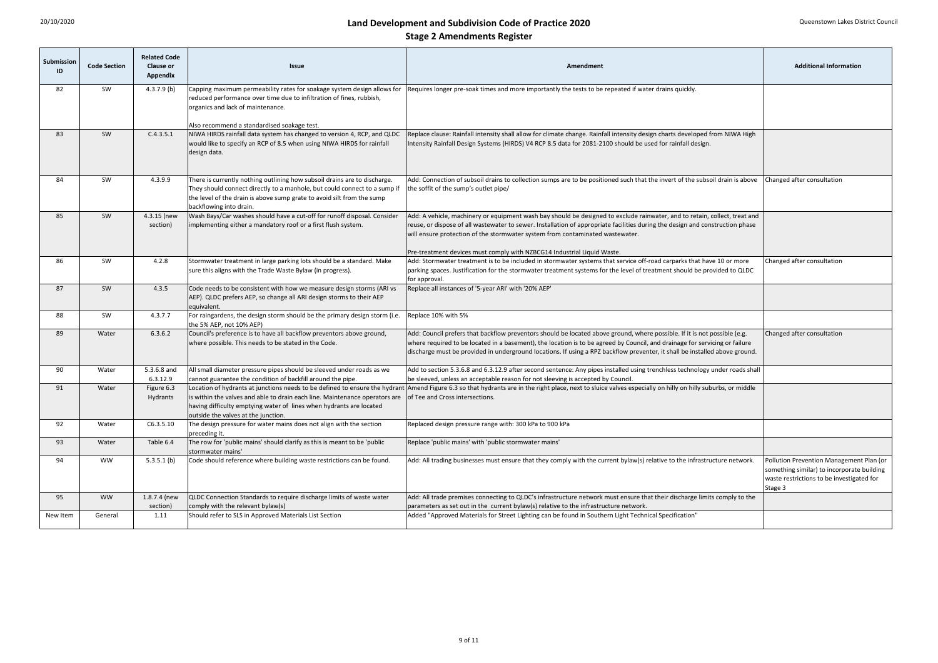| <b>Submission</b><br>ID | <b>Code Section</b> | <b>Related Code</b><br><b>Clause or</b><br>Appendix | <b>Issue</b>                                                                                                                                                                                                                                                             | Amendment                                                                                                                                                                                                                                                                                                                                                                               | <b>Additional Information</b> |
|-------------------------|---------------------|-----------------------------------------------------|--------------------------------------------------------------------------------------------------------------------------------------------------------------------------------------------------------------------------------------------------------------------------|-----------------------------------------------------------------------------------------------------------------------------------------------------------------------------------------------------------------------------------------------------------------------------------------------------------------------------------------------------------------------------------------|-------------------------------|
| 82                      | SW                  | $4.3.7.9$ (b)                                       | Capping maximum permeability rates for soakage system design allows for<br>reduced performance over time due to infiltration of fines, rubbish,<br>organics and lack of maintenance.                                                                                     | Requires longer pre-soak times and more importantly the tests to be repeated if water drains quickly.                                                                                                                                                                                                                                                                                   |                               |
| 83                      | SW                  | C.4.3.5.1                                           | Also recommend a standardised soakage test.<br>NIWA HIRDS rainfall data system has changed to version 4, RCP, and QLDC                                                                                                                                                   | Replace clause: Rainfall intensity shall allow for climate change. Rainfall intensity design charts developed from NIWA High                                                                                                                                                                                                                                                            |                               |
|                         |                     |                                                     | would like to specify an RCP of 8.5 when using NIWA HIRDS for rainfall<br>design data.                                                                                                                                                                                   | ntensity Rainfall Design Systems (HIRDS) V4 RCP 8.5 data for 2081-2100 should be used for rainfall design.                                                                                                                                                                                                                                                                              |                               |
| 84                      | SW                  | 4.3.9.9                                             | There is currently nothing outlining how subsoil drains are to discharge.<br>They should connect directly to a manhole, but could connect to a sump if<br>the level of the drain is above sump grate to avoid silt from the sump<br>backflowing into drain.              | Add: Connection of subsoil drains to collection sumps are to be positioned such that the invert of the subsoil drain is above<br>the soffit of the sump's outlet pipe/                                                                                                                                                                                                                  |                               |
| 85                      | SW                  | 4.3.15 (new                                         | Wash Bays/Car washes should have a cut-off for runoff disposal. Consider                                                                                                                                                                                                 | Add: A vehicle, machinery or equipment wash bay should be designed to exclude rainwater, and to retain, collect, treat and                                                                                                                                                                                                                                                              |                               |
|                         |                     | section)                                            | implementing either a mandatory roof or a first flush system.                                                                                                                                                                                                            | reuse, or dispose of all wastewater to sewer. Installation of appropriate facilities during the design and construction phase<br>will ensure protection of the stormwater system from contaminated wastewater.                                                                                                                                                                          |                               |
|                         |                     |                                                     |                                                                                                                                                                                                                                                                          | Pre-treatment devices must comply with NZBCG14 Industrial Liquid Waste.                                                                                                                                                                                                                                                                                                                 |                               |
| 86                      | SW                  | 4.2.8                                               | Stormwater treatment in large parking lots should be a standard. Make<br>sure this aligns with the Trade Waste Bylaw (in progress).                                                                                                                                      | Add: Stormwater treatment is to be included in stormwater systems that service off-road carparks that have 10 or more<br>parking spaces. Justification for the stormwater treatment systems for the level of treatment should be provided to QLDC<br>for approval.                                                                                                                      | Changed after consultation    |
| 87                      | SW                  | 4.3.5                                               | Code needs to be consistent with how we measure design storms (ARI vs<br>AEP). QLDC prefers AEP, so change all ARI design storms to their AEP<br>equivalent.                                                                                                             | Replace all instances of '5-year ARI' with '20% AEP'                                                                                                                                                                                                                                                                                                                                    |                               |
| 88                      | SW                  | 4.3.7.7                                             | For raingardens, the design storm should be the primary design storm (i.e.<br>the 5% AEP, not 10% AEP)                                                                                                                                                                   | Replace 10% with 5%                                                                                                                                                                                                                                                                                                                                                                     |                               |
| 89                      | Water               | 6.3.6.2                                             | Council's preference is to have all backflow preventors above ground,<br>where possible. This needs to be stated in the Code.                                                                                                                                            | Add: Council prefers that backflow preventors should be located above ground, where possible. If it is not possible (e.g.<br>where required to be located in a basement), the location is to be agreed by Council, and drainage for servicing or failure<br>discharge must be provided in underground locations. If using a RPZ backflow preventer, it shall be installed above ground. | Changed after consultation    |
| 90                      | Water               | 5.3.6.8 and<br>6.3.12.9                             | All small diameter pressure pipes should be sleeved under roads as we<br>cannot guarantee the condition of backfill around the pipe.                                                                                                                                     | Add to section 5.3.6.8 and 6.3.12.9 after second sentence: Any pipes installed using trenchless technology under roads shall<br>be sleeved, unless an acceptable reason for not sleeving is accepted by Council.                                                                                                                                                                        |                               |
| 91                      | Water               | Figure 6.3<br>Hydrants                              | Location of hydrants at junctions needs to be defined to ensure the hydrant<br>is within the valves and able to drain each line. Maintenance operators are<br>having difficulty emptying water of lines when hydrants are located<br>outside the valves at the junction. | Amend Figure 6.3 so that hydrants are in the right place, next to sluice valves especially on hilly on hilly suburbs, or middle<br>of Tee and Cross intersections.                                                                                                                                                                                                                      |                               |
| 92                      | Water               | C6.3.5.10                                           | The design pressure for water mains does not align with the section<br>preceding it.                                                                                                                                                                                     | Replaced design pressure range with: 300 kPa to 900 kPa                                                                                                                                                                                                                                                                                                                                 |                               |
| 93                      | Water               | Table 6.4                                           | The row for 'public mains' should clarify as this is meant to be 'public<br>stormwater mains'                                                                                                                                                                            | Replace 'public mains' with 'public stormwater mains'                                                                                                                                                                                                                                                                                                                                   |                               |
| 94                      | <b>WW</b>           | $5.3.5.1$ (b)                                       | Code should reference where building waste restrictions can be found.                                                                                                                                                                                                    | Add: All trading businesses must ensure that they comply with the current bylaw(s) relative to the infrastructure network.<br>Pollution Prevention Management Plan (or<br>something similar) to incorporate building<br>waste restrictions to be investigated for<br>Stage 3                                                                                                            |                               |
| 95                      | <b>WW</b>           | 1.8.7.4 (new                                        | QLDC Connection Standards to require discharge limits of waste water                                                                                                                                                                                                     | Add: All trade premises connecting to QLDC's infrastructure network must ensure that their discharge limits comply to the                                                                                                                                                                                                                                                               |                               |
|                         |                     | section)                                            | comply with the relevant bylaw(s)                                                                                                                                                                                                                                        | parameters as set out in the current bylaw(s) relative to the infrastructure network.                                                                                                                                                                                                                                                                                                   |                               |
| New Item                | General             | 1.11                                                | Should refer to SLS in Approved Materials List Section                                                                                                                                                                                                                   | Added "Approved Materials for Street Lighting can be found in Southern Light Technical Specification"                                                                                                                                                                                                                                                                                   |                               |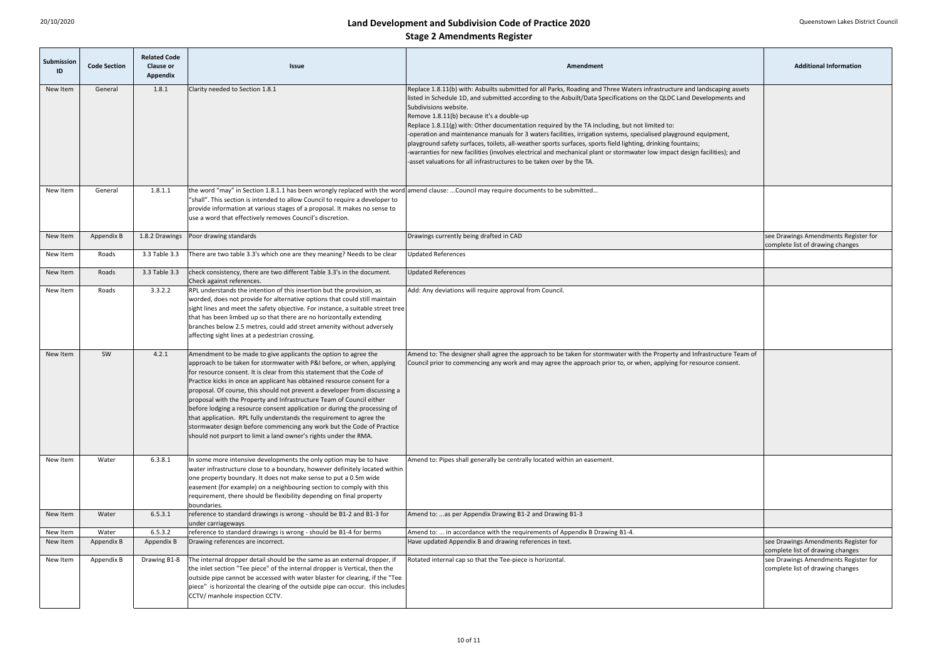| Submission<br>ID | <b>Code Section</b> | <b>Related Code</b><br><b>Clause or</b><br><b>Appendix</b> | <b>Issue</b>                                                                                                                                                                                                                                                                                                                                                                                                                                                                                                                                                                                                                                                                                                                                           | Amendment                                                                                                                                                                                                                                                                                                                                                                                                                                                                                                                                                                                                                                                                                                                                                                                                                                                         | <b>Additional Information</b>                                            |
|------------------|---------------------|------------------------------------------------------------|--------------------------------------------------------------------------------------------------------------------------------------------------------------------------------------------------------------------------------------------------------------------------------------------------------------------------------------------------------------------------------------------------------------------------------------------------------------------------------------------------------------------------------------------------------------------------------------------------------------------------------------------------------------------------------------------------------------------------------------------------------|-------------------------------------------------------------------------------------------------------------------------------------------------------------------------------------------------------------------------------------------------------------------------------------------------------------------------------------------------------------------------------------------------------------------------------------------------------------------------------------------------------------------------------------------------------------------------------------------------------------------------------------------------------------------------------------------------------------------------------------------------------------------------------------------------------------------------------------------------------------------|--------------------------------------------------------------------------|
| New Item         | General             | 1.8.1                                                      | Clarity needed to Section 1.8.1                                                                                                                                                                                                                                                                                                                                                                                                                                                                                                                                                                                                                                                                                                                        | Replace 1.8.11(b) with: Asbuilts submitted for all Parks, Roading and Three Waters infrastructure and landscaping assets<br>listed in Schedule 1D, and submitted according to the Asbuilt/Data Specifications on the QLDC Land Developments and<br>Subdivisions website.<br>Remove 1.8.11(b) because it's a double-up<br>Replace 1.8.11(g) with: Other documentation required by the TA including, but not limited to:<br>-operation and maintenance manuals for 3 waters facilities, irrigation systems, specialised playground equipment,<br>playground safety surfaces, toilets, all-weather sports surfaces, sports field lighting, drinking fountains;<br>-warranties for new facilities (involves electrical and mechanical plant or stormwater low impact design facilities); and<br>-asset valuations for all infrastructures to be taken over by the TA. |                                                                          |
| New Item         | General             | 1.8.1.1                                                    | the word "may" in Section 1.8.1.1 has been wrongly replaced with the word amend clause: Council may require documents to be submitted<br>"shall". This section is intended to allow Council to require a developer to<br>provide information at various stages of a proposal. It makes no sense to<br>use a word that effectively removes Council's discretion.                                                                                                                                                                                                                                                                                                                                                                                        |                                                                                                                                                                                                                                                                                                                                                                                                                                                                                                                                                                                                                                                                                                                                                                                                                                                                   |                                                                          |
| New Item         | Appendix B          | 1.8.2 Drawings                                             | Poor drawing standards                                                                                                                                                                                                                                                                                                                                                                                                                                                                                                                                                                                                                                                                                                                                 | Drawings currently being drafted in CAD                                                                                                                                                                                                                                                                                                                                                                                                                                                                                                                                                                                                                                                                                                                                                                                                                           | see Drawings Amendments Register for<br>complete list of drawing changes |
| New Item         | Roads               | 3.3 Table 3.3                                              | There are two table 3.3's which one are they meaning? Needs to be clear                                                                                                                                                                                                                                                                                                                                                                                                                                                                                                                                                                                                                                                                                | <b>Updated References</b>                                                                                                                                                                                                                                                                                                                                                                                                                                                                                                                                                                                                                                                                                                                                                                                                                                         |                                                                          |
| New Item         | Roads               | 3.3 Table 3.3                                              | check consistency, there are two different Table 3.3's in the document.<br>Check against references.                                                                                                                                                                                                                                                                                                                                                                                                                                                                                                                                                                                                                                                   | <b>Updated References</b>                                                                                                                                                                                                                                                                                                                                                                                                                                                                                                                                                                                                                                                                                                                                                                                                                                         |                                                                          |
| New Item         | Roads               | 3.3.2.2                                                    | RPL understands the intention of this insertion but the provision, as<br>worded, does not provide for alternative options that could still maintain<br>sight lines and meet the safety objective. For instance, a suitable street tree<br>that has been limbed up so that there are no horizontally extending<br>branches below 2.5 metres, could add street amenity without adversely<br>affecting sight lines at a pedestrian crossing.                                                                                                                                                                                                                                                                                                              | Add: Any deviations will require approval from Council.                                                                                                                                                                                                                                                                                                                                                                                                                                                                                                                                                                                                                                                                                                                                                                                                           |                                                                          |
| New Item         | SW                  | 4.2.1                                                      | Amendment to be made to give applicants the option to agree the<br>approach to be taken for stormwater with P&I before, or when, applying<br>for resource consent. It is clear from this statement that the Code of<br>Practice kicks in once an applicant has obtained resource consent for a<br>proposal. Of course, this should not prevent a developer from discussing a<br>proposal with the Property and Infrastructure Team of Council either<br>before lodging a resource consent application or during the processing of<br>that application. RPL fully understands the requirement to agree the<br>stormwater design before commencing any work but the Code of Practice<br>should not purport to limit a land owner's rights under the RMA. | Amend to: The designer shall agree the approach to be taken for stormwater with the Property and Infrastructure Team of<br>Council prior to commencing any work and may agree the approach prior to, or when, applying for resource consent.                                                                                                                                                                                                                                                                                                                                                                                                                                                                                                                                                                                                                      |                                                                          |
| New Item         | Water               | 6.3.8.1                                                    | In some more intensive developments the only option may be to have<br>water infrastructure close to a boundary, however definitely located within<br>one property boundary. It does not make sense to put a 0.5m wide<br>easement (for example) on a neighbouring section to comply with this<br>requirement, there should be flexibility depending on final property<br>boundaries.                                                                                                                                                                                                                                                                                                                                                                   | Amend to: Pipes shall generally be centrally located within an easement.                                                                                                                                                                                                                                                                                                                                                                                                                                                                                                                                                                                                                                                                                                                                                                                          |                                                                          |
| New Item         | Water               | 6.5.3.1                                                    | reference to standard drawings is wrong - should be B1-2 and B1-3 for<br>under carriageways                                                                                                                                                                                                                                                                                                                                                                                                                                                                                                                                                                                                                                                            | Amend to: as per Appendix Drawing B1-2 and Drawing B1-3                                                                                                                                                                                                                                                                                                                                                                                                                                                                                                                                                                                                                                                                                                                                                                                                           |                                                                          |
| New Item         | Water               | 6.5.3.2                                                    | reference to standard drawings is wrong - should be B1-4 for berms                                                                                                                                                                                                                                                                                                                                                                                                                                                                                                                                                                                                                                                                                     | Amend to:  in accordance with the requirements of Appendix B Drawing B1-4.                                                                                                                                                                                                                                                                                                                                                                                                                                                                                                                                                                                                                                                                                                                                                                                        |                                                                          |
| New Item         | Appendix B          | Appendix B                                                 | Drawing references are incorrect.                                                                                                                                                                                                                                                                                                                                                                                                                                                                                                                                                                                                                                                                                                                      | Have updated Appendix B and drawing references in text.                                                                                                                                                                                                                                                                                                                                                                                                                                                                                                                                                                                                                                                                                                                                                                                                           | see Drawings Amendments Register for<br>complete list of drawing changes |
| New Item         | Appendix B          | Drawing B1-8                                               | The internal dropper detail should be the same as an external dropper, if<br>the inlet section "Tee piece" of the internal dropper is Vertical, then the<br>outside pipe cannot be accessed with water blaster for clearing, if the "Tee<br>piece" is horizontal the clearing of the outside pipe can occur. this includes<br>CCTV/ manhole inspection CCTV.                                                                                                                                                                                                                                                                                                                                                                                           | Rotated internal cap so that the Tee-piece is horizontal.                                                                                                                                                                                                                                                                                                                                                                                                                                                                                                                                                                                                                                                                                                                                                                                                         | see Drawings Amendments Register for<br>complete list of drawing changes |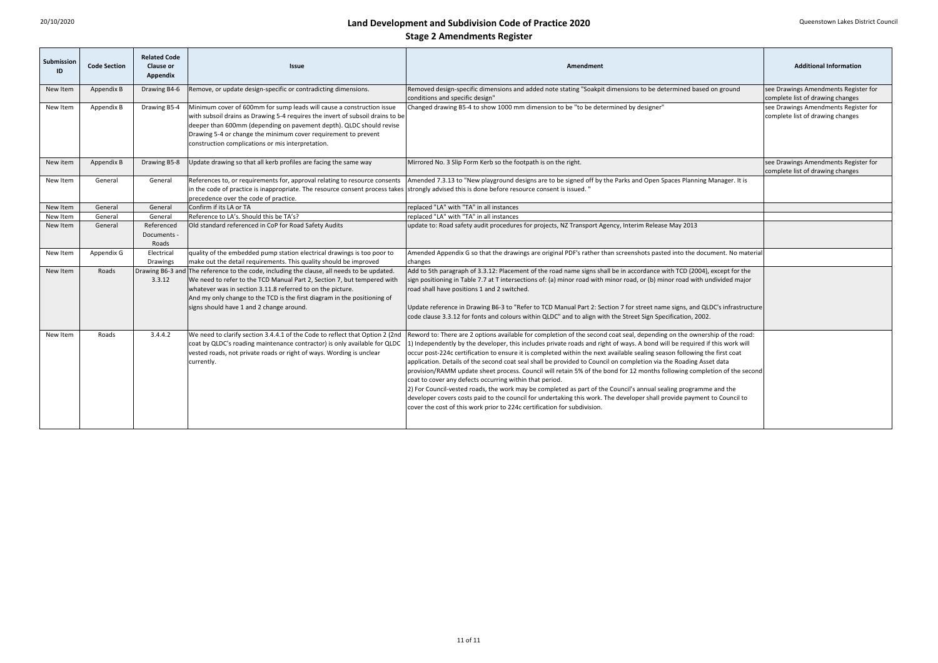| Submission<br>ID | <b>Code Section</b> | <b>Related Code</b><br><b>Clause or</b><br><b>Appendix</b> | <b>Issue</b>                                                                                                                                                                                                                                                                                                                                                | <b>Additional Information</b><br>Amendment                                                                                                                                                                                                                                                                                                                                                                                                                                                                                                                                                                                                                                                                                                                                                                                                                                                                                                                                                                                                                                                                 |                                                                          |
|------------------|---------------------|------------------------------------------------------------|-------------------------------------------------------------------------------------------------------------------------------------------------------------------------------------------------------------------------------------------------------------------------------------------------------------------------------------------------------------|------------------------------------------------------------------------------------------------------------------------------------------------------------------------------------------------------------------------------------------------------------------------------------------------------------------------------------------------------------------------------------------------------------------------------------------------------------------------------------------------------------------------------------------------------------------------------------------------------------------------------------------------------------------------------------------------------------------------------------------------------------------------------------------------------------------------------------------------------------------------------------------------------------------------------------------------------------------------------------------------------------------------------------------------------------------------------------------------------------|--------------------------------------------------------------------------|
| New Item         | Appendix B          | Drawing B4-6                                               | Remove, or update design-specific or contradicting dimensions.                                                                                                                                                                                                                                                                                              | Removed design-specific dimensions and added note stating "Soakpit dimensions to be determined based on ground<br>conditions and specific design"                                                                                                                                                                                                                                                                                                                                                                                                                                                                                                                                                                                                                                                                                                                                                                                                                                                                                                                                                          | see Drawings Amendments Register for<br>complete list of drawing changes |
| New Item         | Appendix B          | Drawing B5-4                                               | Minimum cover of 600mm for sump leads will cause a construction issue<br>with subsoil drains as Drawing 5-4 requires the invert of subsoil drains to be<br>deeper than 600mm (depending on pavement depth). QLDC should revise<br>Drawing 5-4 or change the minimum cover requirement to prevent<br>construction complications or mis interpretation.       | Changed drawing B5-4 to show 1000 mm dimension to be "to be determined by designer"                                                                                                                                                                                                                                                                                                                                                                                                                                                                                                                                                                                                                                                                                                                                                                                                                                                                                                                                                                                                                        | see Drawings Amendments Register for<br>complete list of drawing changes |
| New item         | Appendix B          | Drawing B5-8                                               | Jpdate drawing so that all kerb profiles are facing the same way                                                                                                                                                                                                                                                                                            | Mirrored No. 3 Slip Form Kerb so the footpath is on the right.                                                                                                                                                                                                                                                                                                                                                                                                                                                                                                                                                                                                                                                                                                                                                                                                                                                                                                                                                                                                                                             | see Drawings Amendments Register for<br>complete list of drawing changes |
| New Item         | General             | General                                                    | in the code of practice is inappropriate. The resource consent process takes strongly advised this is done before resource consent is issued. "<br>precedence over the code of practice.                                                                                                                                                                    | References to, or requirements for, approval relating to resource consents   Amended 7.3.13 to "New playground designs are to be signed off by the Parks and Open Spaces Planning Manager. It is                                                                                                                                                                                                                                                                                                                                                                                                                                                                                                                                                                                                                                                                                                                                                                                                                                                                                                           |                                                                          |
| New Item         | General             | General                                                    | Confirm if its LA or TA                                                                                                                                                                                                                                                                                                                                     | replaced "LA" with "TA" in all instances                                                                                                                                                                                                                                                                                                                                                                                                                                                                                                                                                                                                                                                                                                                                                                                                                                                                                                                                                                                                                                                                   |                                                                          |
| New Item         | General             | General                                                    | Reference to LA's. Should this be TA's?                                                                                                                                                                                                                                                                                                                     | replaced "LA" with "TA" in all instances                                                                                                                                                                                                                                                                                                                                                                                                                                                                                                                                                                                                                                                                                                                                                                                                                                                                                                                                                                                                                                                                   |                                                                          |
| New Item         | General             | Referenced<br>Documents -<br>Roads                         | Old standard referenced in CoP for Road Safety Audits                                                                                                                                                                                                                                                                                                       | update to: Road safety audit procedures for projects, NZ Transport Agency, Interim Release May 2013                                                                                                                                                                                                                                                                                                                                                                                                                                                                                                                                                                                                                                                                                                                                                                                                                                                                                                                                                                                                        |                                                                          |
| New Item         | Appendix G          | Electrical<br><b>Drawings</b>                              | quality of the embedded pump station electrical drawings is too poor to<br>make out the detail requirements. This quality should be improved                                                                                                                                                                                                                | Amended Appendix G so that the drawings are original PDF's rather than screenshots pasted into the document. No material<br>changes                                                                                                                                                                                                                                                                                                                                                                                                                                                                                                                                                                                                                                                                                                                                                                                                                                                                                                                                                                        |                                                                          |
| New Item         | Roads               | 3.3.12                                                     | Drawing B6-3 and The reference to the code, including the clause, all needs to be updated.<br>We need to refer to the TCD Manual Part 2, Section 7, but tempered with<br>whatever was in section 3.11.8 referred to on the picture.<br>And my only change to the TCD is the first diagram in the positioning of<br>signs should have 1 and 2 change around. | Add to 5th paragraph of 3.3.12: Placement of the road name signs shall be in accordance with TCD (2004), except for the<br>sign positioning in Table 7.7 at T intersections of: (a) minor road with minor road, or (b) minor road with undivided major<br>road shall have positions 1 and 2 switched.<br>Update reference in Drawing B6-3 to "Refer to TCD Manual Part 2: Section 7 for street name signs, and QLDC's infrastructure<br>code clause 3.3.12 for fonts and colours within QLDC" and to align with the Street Sign Specification, 2002.                                                                                                                                                                                                                                                                                                                                                                                                                                                                                                                                                       |                                                                          |
| New Item         | Roads               | 3.4.4.2                                                    | coat by QLDC's roading maintenance contractor) is only available for QLDC<br>vested roads, not private roads or right of ways. Wording is unclear<br>currently.                                                                                                                                                                                             | We need to clarify section 3.4.4.1 of the Code to reflect that Option 2 (2nd Reword to: There are 2 options available for completion of the second coat seal, depending on the ownership of the road:<br>1) Independently by the developer, this includes private roads and right of ways. A bond will be required if this work will<br>occur post-224c certification to ensure it is completed within the next available sealing season following the first coat<br>application. Details of the second coat seal shall be provided to Council on completion via the Roading Asset data<br>provision/RAMM update sheet process. Council will retain 5% of the bond for 12 months following completion of the second<br>coat to cover any defects occurring within that period.<br>[2] For Council-vested roads, the work may be completed as part of the Council's annual sealing programme and the<br>developer covers costs paid to the council for undertaking this work. The developer shall provide payment to Council to<br>cover the cost of this work prior to 224c certification for subdivision. |                                                                          |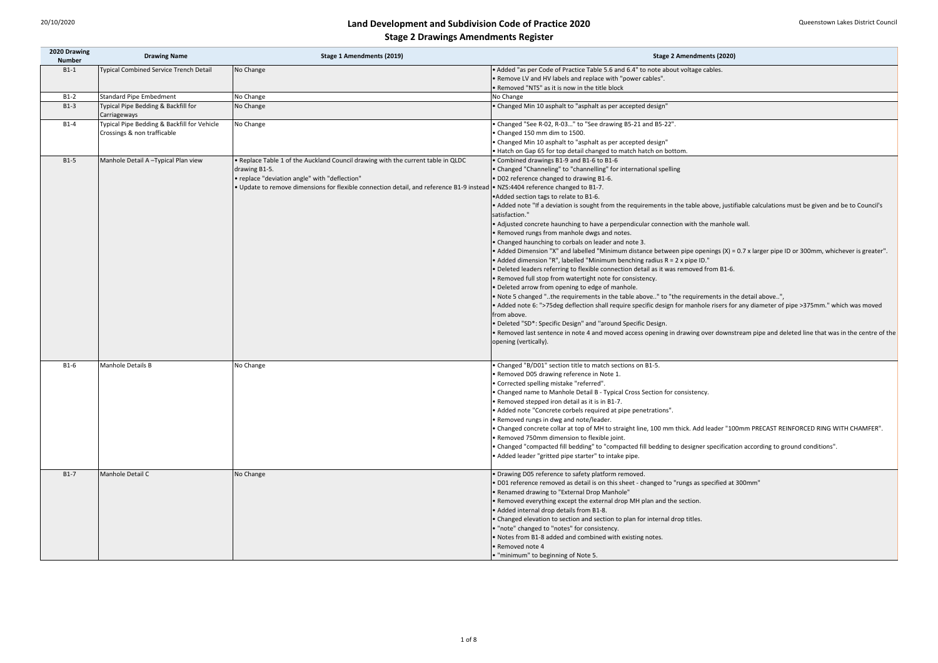is sought from the requirements in the table above, justifiable calculations must be given and be to Council's

ing to have a perpendicular connection with the manhole wall.

I labelled "Minimum distance between pipe openings (X) = 0.7 x larger pipe ID or 300mm, whichever is greater". elled "Minimum benching radius  $R = 2$  x pipe ID."

uirements in the table above.." to "the requirements in the detail above..",

flection shall require specific design for manhole risers for any diameter of pipe >375mm." which was moved

note 4 and moved access opening in drawing over downstream pipe and deleted line that was in the centre of the

top of MH to straight line, 100 mm thick. Add leader "100mm PRECAST REINFORCED RING WITH CHAMFER".

bedding" to "compacted fill bedding to designer specification according to ground conditions".

s detail is on this sheet - changed to "rungs as specified at 300mm"

| 2020 Drawing<br><b>Number</b> | <b>Drawing Name</b>                                 | <b>Stage 1 Amendments (2019)</b>                                                                                                | <b>Stage 2 Amendments (2020)</b>                                                        |
|-------------------------------|-----------------------------------------------------|---------------------------------------------------------------------------------------------------------------------------------|-----------------------------------------------------------------------------------------|
| $B1-1$                        | <b>Typical Combined Service Trench Detail</b>       | No Change                                                                                                                       | • Added "as per Code of Practice Table 5.6 and 6.4" to note about voltage cables.       |
|                               |                                                     |                                                                                                                                 | . Remove LV and HV labels and replace with "power cables".                              |
|                               |                                                     |                                                                                                                                 | • Removed "NTS" as it is now in the title block                                         |
| $B1-2$                        | <b>Standard Pipe Embedment</b>                      | No Change                                                                                                                       | No Change                                                                               |
| $B1-3$                        | Typical Pipe Bedding & Backfill for<br>Carriageways | No Change                                                                                                                       | • Changed Min 10 asphalt to "asphalt as per accepted design"                            |
| $B1-4$                        | Typical Pipe Bedding & Backfill for Vehicle         | No Change                                                                                                                       | • Changed "See R-02, R-03" to "See drawing B5-21 and B5-22".                            |
|                               | Crossings & non trafficable                         |                                                                                                                                 | • Changed 150 mm dim to 1500.                                                           |
|                               |                                                     |                                                                                                                                 | • Changed Min 10 asphalt to "asphalt as per accepted design"                            |
|                               |                                                     |                                                                                                                                 | . Hatch on Gap 65 for top detail changed to match hatch on bottom.                      |
| $B1-5$                        | Manhole Detail A-Typical Plan view                  | . Replace Table 1 of the Auckland Council drawing with the current table in QLDC                                                | • Combined drawings B1-9 and B1-6 to B1-6                                               |
|                               |                                                     | drawing B1-5.                                                                                                                   | • Changed "Channeling" to "channelling" for international spelling                      |
|                               |                                                     | • replace "deviation angle" with "deflection"                                                                                   | .002 reference changed to drawing B1-6.                                                 |
|                               |                                                     | ● Update to remove dimensions for flexible connection detail, and reference B1-9 instead  ● NZS:4404 reference changed to B1-7. |                                                                                         |
|                               |                                                     |                                                                                                                                 | • Added section tags to relate to B1-6.                                                 |
|                               |                                                     |                                                                                                                                 | • Added note "If a deviation is sought from the requirements in the table above, justi  |
|                               |                                                     |                                                                                                                                 | satisfaction."                                                                          |
|                               |                                                     |                                                                                                                                 | • Adjusted concrete haunching to have a perpendicular connection with the manhole       |
|                               |                                                     |                                                                                                                                 | • Removed rungs from manhole dwgs and notes.                                            |
|                               |                                                     |                                                                                                                                 | • Changed haunching to corbals on leader and note 3.                                    |
|                               |                                                     |                                                                                                                                 | • Added Dimension "X" and labelled "Minimum distance between pipe openings (X) =        |
|                               |                                                     |                                                                                                                                 | • Added dimension "R", labelled "Minimum benching radius $R = 2x$ pipe ID."             |
|                               |                                                     |                                                                                                                                 | • Deleted leaders referring to flexible connection detail as it was removed from B1-6.  |
|                               |                                                     |                                                                                                                                 | • Removed full stop from watertight note for consistency.                               |
|                               |                                                     |                                                                                                                                 |                                                                                         |
|                               |                                                     |                                                                                                                                 | • Deleted arrow from opening to edge of manhole.                                        |
|                               |                                                     |                                                                                                                                 | • Note 5 changed "the requirements in the table above" to "the requirements in the      |
|                               |                                                     |                                                                                                                                 | • Added note 6: ">75 deg deflection shall require specific design for manhole risers fo |
|                               |                                                     |                                                                                                                                 | from above.                                                                             |
|                               |                                                     |                                                                                                                                 | • Deleted "SD*: Specific Design" and "around Specific Design.                           |
|                               |                                                     |                                                                                                                                 | • Removed last sentence in note 4 and moved access opening in drawing over downs        |
|                               |                                                     |                                                                                                                                 | opening (vertically).                                                                   |
| $B1-6$                        | <b>Manhole Details B</b>                            | No Change                                                                                                                       | • Changed "B/D01" section title to match sections on B1-5.                              |
|                               |                                                     |                                                                                                                                 | • Removed D05 drawing reference in Note 1.                                              |
|                               |                                                     |                                                                                                                                 | • Corrected spelling mistake "referred".                                                |
|                               |                                                     |                                                                                                                                 | • Changed name to Manhole Detail B - Typical Cross Section for consistency.             |
|                               |                                                     |                                                                                                                                 | • Removed stepped iron detail as it is in B1-7.                                         |
|                               |                                                     |                                                                                                                                 | Added note "Concrete corbels required at pipe penetrations".                            |
|                               |                                                     |                                                                                                                                 | . Removed rungs in dwg and note/leader.                                                 |
|                               |                                                     |                                                                                                                                 | • Changed concrete collar at top of MH to straight line, 100 mm thick. Add leader "10   |
|                               |                                                     |                                                                                                                                 | Removed 750mm dimension to flexible joint.                                              |
|                               |                                                     |                                                                                                                                 | • Changed "compacted fill bedding" to "compacted fill bedding to designer specificati   |
|                               |                                                     |                                                                                                                                 | • Added leader "gritted pipe starter" to intake pipe.                                   |
| $B1-7$                        | Manhole Detail C                                    | No Change                                                                                                                       | • Drawing D05 reference to safety platform removed.                                     |
|                               |                                                     |                                                                                                                                 | • D01 reference removed as detail is on this sheet - changed to "rungs as specified at  |
|                               |                                                     |                                                                                                                                 | • Renamed drawing to "External Drop Manhole"                                            |
|                               |                                                     |                                                                                                                                 | • Removed everything except the external drop MH plan and the section.                  |
|                               |                                                     |                                                                                                                                 | • Added internal drop details from B1-8.                                                |
|                               |                                                     |                                                                                                                                 | • Changed elevation to section and section to plan for internal drop titles.            |
|                               |                                                     |                                                                                                                                 | . "note" changed to "notes" for consistency.                                            |
|                               |                                                     |                                                                                                                                 | • Notes from B1-8 added and combined with existing notes.                               |
|                               |                                                     |                                                                                                                                 | Removed note 4                                                                          |
|                               |                                                     |                                                                                                                                 | . "minimum" to beginning of Note 5.                                                     |
|                               |                                                     |                                                                                                                                 |                                                                                         |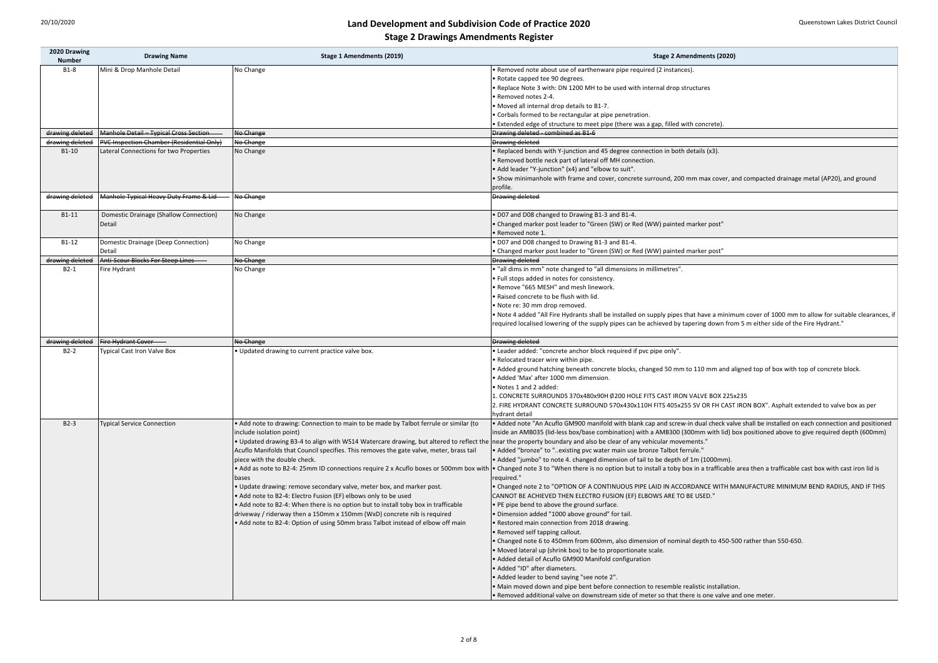ame and cover, concrete surround, 200 mm max cover, and compacted drainage metal (AP20), and ground

rants shall be installed on supply pipes that have a minimum cover of 1000 mm to allow for suitable clearances, if of the supply pipes can be achieved by tapering down from 5 m either side of the Fire Hydrant."

e ath concrete blocks, changed 50 mm to 110 mm and aligned top of box with top of concrete block. m dimension.

1. BOOX480x90H Ø200 HOLE FITS CAST IRON VALVE BOX 225x235 <sup>2</sup> SURROUND 570x430x110H FITS 405x255 SV OR FH CAST IRON BOX". Asphalt extended to valve box as per

1900 manifold with blank cap and screw-in dual check valve shall be installed on each connection and positioned ox/base combination) with a AMB300 (300mm with lid) box positioned above to give required depth (600mm) and also be clear of any vehicular movements."

there is no option but to install a toby box in a trafficable area then a trafficable cast box with cast iron lid is

N OF A CONTINUOUS PIPE LAID IN ACCORDANCE WITH MANUFACTURE MINIMUM BEND RADIUS, AND IF THIS I ELECTRO FUSION (EF) ELBOWS ARE TO BE USED."

from 600mm, also dimension of nominal depth to 450-500 rather than 550-650.

on downstream side of meter so that there is one valve and one meter.

| 2020 Drawing<br><b>Number</b> | <b>Drawing Name</b>                              | <b>Stage 1 Amendments (2019)</b>                                                                                                                                              | <b>Stage 2 Amendments (2020)</b>                                                       |
|-------------------------------|--------------------------------------------------|-------------------------------------------------------------------------------------------------------------------------------------------------------------------------------|----------------------------------------------------------------------------------------|
| $B1-8$                        | Mini & Drop Manhole Detail                       | No Change                                                                                                                                                                     | • Removed note about use of earthenware pipe required (2 instances).                   |
|                               |                                                  |                                                                                                                                                                               | • Rotate capped tee 90 degrees.                                                        |
|                               |                                                  |                                                                                                                                                                               | . Replace Note 3 with: DN 1200 MH to be used with internal drop structures             |
|                               |                                                  |                                                                                                                                                                               | • Removed notes 2-4.                                                                   |
|                               |                                                  |                                                                                                                                                                               | • Moved all internal drop details to B1-7.                                             |
|                               |                                                  |                                                                                                                                                                               | • Corbals formed to be rectangular at pipe penetration.                                |
|                               |                                                  |                                                                                                                                                                               | • Extended edge of structure to meet pipe (there was a gap, filled with concrete).     |
| drawing deleted               | Manhole Detail - Typical Cross Section           | No Change                                                                                                                                                                     | Drawing deleted - combined as B1-6                                                     |
| drawing deleted               | <b>PVC Inspection Chamber (Residential Only)</b> | No Change                                                                                                                                                                     | <b>Drawing deleted</b>                                                                 |
| B1-10                         | Lateral Connections for two Properties           | No Change                                                                                                                                                                     | • Replaced bends with Y-junction and 45 degree connection in both details (x3).        |
|                               |                                                  |                                                                                                                                                                               | • Removed bottle neck part of lateral off MH connection.                               |
|                               |                                                  |                                                                                                                                                                               | • Add leader "Y-junction" (x4) and "elbow to suit".                                    |
|                               |                                                  |                                                                                                                                                                               |                                                                                        |
|                               |                                                  |                                                                                                                                                                               | • Show minimanhole with frame and cover, concrete surround, 200 mm max cover, a        |
|                               |                                                  |                                                                                                                                                                               | profile.                                                                               |
| drawing deleted               | Manhole Typical Heavy Duty Frame & Lid-          | No Change                                                                                                                                                                     | <b>Drawing deleted</b>                                                                 |
| $B1-11$                       | Domestic Drainage (Shallow Connection)           | No Change                                                                                                                                                                     | . D07 and D08 changed to Drawing B1-3 and B1-4.                                        |
|                               | Detail                                           |                                                                                                                                                                               | • Changed marker post leader to "Green (SW) or Red (WW) painted marker post"           |
|                               |                                                  |                                                                                                                                                                               | · Removed note 1.                                                                      |
| $B1-12$                       | Domestic Drainage (Deep Connection)              | No Change                                                                                                                                                                     | . D07 and D08 changed to Drawing B1-3 and B1-4.                                        |
|                               | Detail                                           |                                                                                                                                                                               | • Changed marker post leader to "Green (SW) or Red (WW) painted marker post"           |
| drawing deleted               | Anti-Scour Blocks For Steep Lines                | No Change                                                                                                                                                                     | <b>Drawing deleted</b>                                                                 |
| $B2-1$                        | Fire Hydrant                                     | No Change                                                                                                                                                                     | • "all dims in mm" note changed to "all dimensions in millimetres".                    |
|                               |                                                  |                                                                                                                                                                               | • Full stops added in notes for consistency.                                           |
|                               |                                                  |                                                                                                                                                                               | • Remove "665 MESH" and mesh linework.                                                 |
|                               |                                                  |                                                                                                                                                                               | • Raised concrete to be flush with lid.                                                |
|                               |                                                  |                                                                                                                                                                               | • Note re: 30 mm drop removed.                                                         |
|                               |                                                  |                                                                                                                                                                               | . Note 4 added "All Fire Hydrants shall be installed on supply pipes that have a minim |
|                               |                                                  |                                                                                                                                                                               | required localised lowering of the supply pipes can be achieved by tapering down fro   |
|                               |                                                  |                                                                                                                                                                               |                                                                                        |
| drawing deleted               | Fire Hydrant Cover                               | No Change                                                                                                                                                                     | <b>Drawing deleted</b>                                                                 |
| $B2-2$                        | <b>Typical Cast Iron Valve Box</b>               | . Updated drawing to current practice valve box.                                                                                                                              | • Leader added: "concrete anchor block required if pvc pipe only".                     |
|                               |                                                  |                                                                                                                                                                               | • Relocated tracer wire within pipe.                                                   |
|                               |                                                  |                                                                                                                                                                               | • Added ground hatching beneath concrete blocks, changed 50 mm to 110 mm and a         |
|                               |                                                  |                                                                                                                                                                               | • Added 'Max' after 1000 mm dimension.                                                 |
|                               |                                                  |                                                                                                                                                                               | • Notes 1 and 2 added:                                                                 |
|                               |                                                  |                                                                                                                                                                               | 1. CONCRETE SURROUNDS 370x480x90H Ø200 HOLE FITS CAST IRON VALVE BOX 225:              |
|                               |                                                  |                                                                                                                                                                               | 2. FIRE HYDRANT CONCRETE SURROUND 570x430x110H FITS 405x255 SV OR FH CAST              |
|                               |                                                  |                                                                                                                                                                               | hydrant detail                                                                         |
| $B2-3$                        | <b>Typical Service Connection</b>                | . Add note to drawing: Connection to main to be made by Talbot ferrule or similar (to                                                                                         | • Added note "An Acuflo GM900 manifold with blank cap and screw-in dual check val      |
|                               |                                                  | include isolation point)                                                                                                                                                      | inside an AMB035 (lid-less box/base combination) with a AMB300 (300mm with lid) b      |
|                               |                                                  | • Updated drawing B3-4 to align with WS14 Watercare drawing, but altered to reflect the near the property boundary and also be clear of any vehicular movements."             |                                                                                        |
|                               |                                                  | Acuflo Manifolds that Council specifies. This removes the gate valve, meter, brass tail                                                                                       | • Added "bronze" to "existing pvc water main use bronze Talbot ferrule."               |
|                               |                                                  | piece with the double check.                                                                                                                                                  | • Added "jumbo" to note 4. changed dimension of tail to be depth of 1m (1000mm).       |
|                               |                                                  | • Add as note to B2-4: 25mm ID connections require 2 x Acuflo boxes or 500mm box with • Changed note 3 to "When there is no option but to install a toby box in a trafficable |                                                                                        |
|                               |                                                  | bases                                                                                                                                                                         | required."                                                                             |
|                               |                                                  | . Update drawing: remove secondary valve, meter box, and marker post.                                                                                                         | • Changed note 2 to "OPTION OF A CONTINUOUS PIPE LAID IN ACCORDANCE WITH M             |
|                               |                                                  | • Add note to B2-4: Electro Fusion (EF) elbows only to be used                                                                                                                |                                                                                        |
|                               |                                                  |                                                                                                                                                                               | CANNOT BE ACHIEVED THEN ELECTRO FUSION (EF) ELBOWS ARE TO BE USED."                    |
|                               |                                                  | • Add note to B2-4: When there is no option but to install toby box in trafficable                                                                                            | • PE pipe bend to above the ground surface.                                            |
|                               |                                                  | driveway / riderway then a 150mm x 150mm (WxD) concrete nib is required                                                                                                       | . Dimension added "1000 above ground" for tail.                                        |
|                               |                                                  | • Add note to B2-4: Option of using 50mm brass Talbot instead of elbow off main                                                                                               | • Restored main connection from 2018 drawing.                                          |
|                               |                                                  |                                                                                                                                                                               | • Removed self tapping callout.                                                        |
|                               |                                                  |                                                                                                                                                                               | • Changed note 6 to 450mm from 600mm, also dimension of nominal depth to 450-5         |
|                               |                                                  |                                                                                                                                                                               | • Moved lateral up (shrink box) to be to proportionate scale.                          |
|                               |                                                  |                                                                                                                                                                               | • Added detail of Acuflo GM900 Manifold configuration                                  |
|                               |                                                  |                                                                                                                                                                               | • Added "ID" after diameters.                                                          |
|                               |                                                  |                                                                                                                                                                               | • Added leader to bend saying "see note 2".                                            |
|                               |                                                  |                                                                                                                                                                               | • Main moved down and pipe bent before connection to resemble realistic installatio    |
|                               |                                                  |                                                                                                                                                                               | . Removed additional valve on downstream side of meter so that there is one valve a    |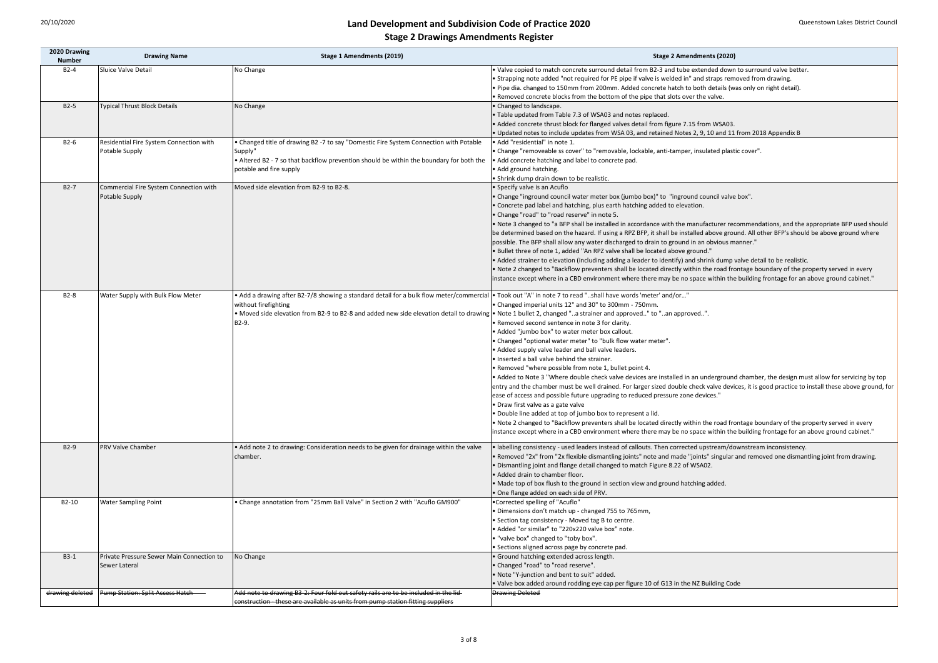|  | <b>Stage 2 Amendments (2020)</b> |  |
|--|----------------------------------|--|
|--|----------------------------------|--|

Icrete surround detail from B2-3 and tube extended down to surround valve better. required for PE pipe if valve is welded in" and straps removed from drawing. Im from 200mm. Added concrete hatch to both details (was only on right detail). from the bottom of the pipe that slots over the valve.

eck for flanged valves detail from figure 7.15 from WSA03.

updates from WSA 03, and retained Notes 2, 9, 10 and 11 from 2018 Appendix B

ver" to "removable, lockable, anti-tamper, insulated plastic cover".

water meter box (jumbo box)" to "inground council valve box".

shall be installed in accordance with the manufacturer recommendations, and the appropriate BFP used should bazard. If using a RPZ BFP, it shall be installed above ground. All other BFP's should be above ground where any water discharged to drain to ground in an obvious manner."

n (including adding a leader to identify) and shrink dump valve detail to be realistic.

ow preventers shall be located directly within the road frontage boundary of the property served in every CBD environment where there may be no space within the building frontage for an above ground cabinet."

double check valve devices are installed in an underground chamber, the design must allow for servicing by top the well drained. For larger sized double check valve devices, it is good practice to install these above ground, for future upgrading to reduced pressure zone devices."

ow preventers shall be located directly within the road frontage boundary of the property served in every CBD environment where there may be no space within the building frontage for an above ground cabinet."

d leaders instead of callouts. Then corrected upstream/downstream inconsistency.

exible dismantling joints" note and made "joints" singular and removed one dismantling joint from drawing. ge detail changed to match Figure 8.22 of WSA02.

| 2020 Drawing<br><b>Number</b> | <b>Drawing Name</b>                                        | <b>Stage 1 Amendments (2019)</b>                                                                                                                                                                                                                                                                                                                               | <b>Stage 2 Amendments (2020)</b>                                                                                                                                                                                                                                                                                                                                                                                                                                                                                                                                                                                                                                                                                                                                                                                                                                                                                                                    |
|-------------------------------|------------------------------------------------------------|----------------------------------------------------------------------------------------------------------------------------------------------------------------------------------------------------------------------------------------------------------------------------------------------------------------------------------------------------------------|-----------------------------------------------------------------------------------------------------------------------------------------------------------------------------------------------------------------------------------------------------------------------------------------------------------------------------------------------------------------------------------------------------------------------------------------------------------------------------------------------------------------------------------------------------------------------------------------------------------------------------------------------------------------------------------------------------------------------------------------------------------------------------------------------------------------------------------------------------------------------------------------------------------------------------------------------------|
| $B2-4$                        | Sluice Valve Detail                                        | No Change                                                                                                                                                                                                                                                                                                                                                      | . Valve copied to match concrete surround detail from B2-3 and tube extended dowr<br>• Strapping note added "not required for PE pipe if valve is welded in" and straps rem<br>. Pipe dia. changed to 150mm from 200mm. Added concrete hatch to both details (w<br>. Removed concrete blocks from the bottom of the pipe that slots over the valve.                                                                                                                                                                                                                                                                                                                                                                                                                                                                                                                                                                                                 |
| $B2-5$                        | <b>Typical Thrust Block Details</b>                        | No Change                                                                                                                                                                                                                                                                                                                                                      | • Changed to landscape.<br>. Table updated from Table 7.3 of WSA03 and notes replaced.<br>• Added concrete thrust block for flanged valves detail from figure 7.15 from WSA03.<br>. Updated notes to include updates from WSA 03, and retained Notes 2, 9, 10 and 11                                                                                                                                                                                                                                                                                                                                                                                                                                                                                                                                                                                                                                                                                |
| $B2-6$                        | Residential Fire System Connection with<br>Potable Supply  | • Changed title of drawing B2 -7 to say "Domestic Fire System Connection with Potable<br>Supply"<br>• Altered B2 - 7 so that backflow prevention should be within the boundary for both the<br>potable and fire supply                                                                                                                                         | · Add "residential" in note 1.<br>• Change "removeable ss cover" to "removable, lockable, anti-tamper, insulated plast<br>• Add concrete hatching and label to concrete pad.<br>• Add ground hatching.<br>• Shrink dump drain down to be realistic.                                                                                                                                                                                                                                                                                                                                                                                                                                                                                                                                                                                                                                                                                                 |
| $B2-7$                        | Commercial Fire System Connection with<br>Potable Supply   | Moved side elevation from B2-9 to B2-8.                                                                                                                                                                                                                                                                                                                        | • Specify valve is an Acuflo<br>• Change "inground council water meter box (jumbo box)" to "inground council valve<br>. Concrete pad label and hatching, plus earth hatching added to elevation.<br>. Change "road" to "road reserve" in note 5.<br>. Note 3 changed to "a BFP shall be installed in accordance with the manufacturer red<br>be determined based on the hazard. If using a RPZ BFP, it shall be installed above grow<br>possible. The BFP shall allow any water discharged to drain to ground in an obvious m<br>. Bullet three of note 1, added "An RPZ valve shall be located above ground."<br>. Added strainer to elevation (including adding a leader to identify) and shrink dump<br>. Note 2 changed to "Backflow preventers shall be located directly within the road from<br>instance except where in a CBD environment where there may be no space within the                                                             |
| $B2-8$                        | Water Supply with Bulk Flow Meter                          | • Add a drawing after B2-7/8 showing a standard detail for a bulk flow meter/commercial  • Took out "A" in note 7 to read "shall have words 'meter' and/or"<br>without firefighting<br>• Moved side elevation from B2-9 to B2-8 and added new side elevation detail to drawing • Note 1 bullet 2, changed "a strainer and approved" to "an approved".<br>B2-9. | • Changed imperial units 12" and 30" to 300mm - 750mm.<br>• Removed second sentence in note 3 for clarity.<br>• Added "jumbo box" to water meter box callout.<br>• Changed "optional water meter" to "bulk flow water meter".<br>• Added supply valve leader and ball valve leaders.<br>. Inserted a ball valve behind the strainer.<br>. Removed "where possible from note 1, bullet point 4.<br>• Added to Note 3 "Where double check valve devices are installed in an undergroun<br>entry and the chamber must be well drained. For larger sized double check valve devi<br>ease of access and possible future upgrading to reduced pressure zone devices."<br>• Draw first valve as a gate valve<br>. Double line added at top of jumbo box to represent a lid.<br>. Note 2 changed to "Backflow preventers shall be located directly within the road fro<br>instance except where in a CBD environment where there may be no space within the |
| $B2-9$                        | <b>PRV Valve Chamber</b>                                   | • Add note 2 to drawing: Consideration needs to be given for drainage within the valve<br>chamber.                                                                                                                                                                                                                                                             | · labelling consistency - used leaders instead of callouts. Then corrected upstream/do<br>. Removed "2x" from "2x flexible dismantling joints" note and made "joints" singular<br>. Dismantling joint and flange detail changed to match Figure 8.22 of WSA02.<br>• Added drain to chamber floor.<br>• Made top of box flush to the ground in section view and ground hatching added.<br>. One flange added on each side of PRV.                                                                                                                                                                                                                                                                                                                                                                                                                                                                                                                    |
| B2-10                         | <b>Water Sampling Point</b>                                | • Change annotation from "25mm Ball Valve" in Section 2 with "Acuflo GM900"                                                                                                                                                                                                                                                                                    | •Corrected spelling of "Acuflo"<br>• Dimensions don't match up - changed 755 to 765mm,<br>• Section tag consistency - Moved tag B to centre.<br>• Added "or similar" to "220x220 valve box" note.<br>• "valve box" changed to "toby box".<br>• Sections aligned across page by concrete pad.                                                                                                                                                                                                                                                                                                                                                                                                                                                                                                                                                                                                                                                        |
| $B3-1$                        | Private Pressure Sewer Main Connection to<br>Sewer Lateral | No Change                                                                                                                                                                                                                                                                                                                                                      | • Ground hatching extended across length.<br>• Changed "road" to "road reserve".<br>. Note "Y-junction and bent to suit" added.<br>• Valve box added around rodding eye cap per figure 10 of G13 in the NZ Building Co                                                                                                                                                                                                                                                                                                                                                                                                                                                                                                                                                                                                                                                                                                                              |
| drawing deleted               | Pump Station: Split Access Hatch                           | Add note to drawing B3-2: Four fold out safety rails are to be included in the lid-<br>construction - these are available as units from pump station fitting suppliers                                                                                                                                                                                         | <b>Drawing Deleted</b>                                                                                                                                                                                                                                                                                                                                                                                                                                                                                                                                                                                                                                                                                                                                                                                                                                                                                                                              |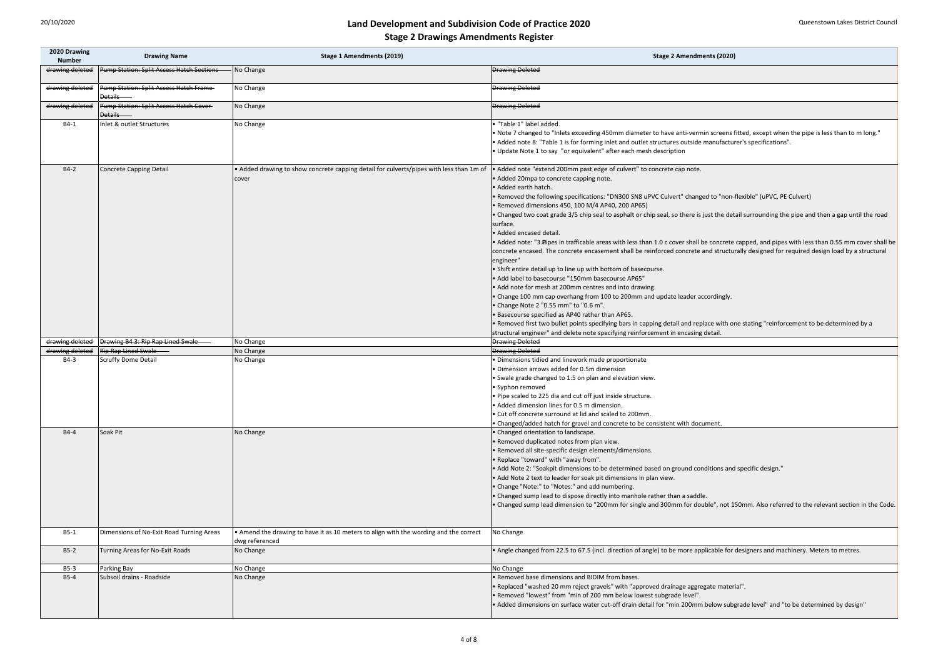exceeding 450mm diameter to have anti-vermin screens fitted, except when the pipe is less than to m long." for forming inlet and outlet structures outside manufacturer's specifications". equivalent" after each mesh description

ecifications: "DN300 SN8 uPVC Culvert" changed to "non-flexible" (uPVC, PE Culvert) , 100 M/4 AP40, 200 AP65)

/5 chip seal to asphalt or chip seal, so there is just the detail surrounding the pipe and then a gap until the road

afficable areas with less than 1.0 c cover shall be concrete capped, and pipes with less than 0.55 mm cover shall be rete encasement shall be reinforced concrete and structurally designed for required design load by a structural

boints specifying bars in capping detail and replace with one stating "reinforcement to be determined by a lete note specifying reinforcement in encasing detail.

ensions to be determined based on ground conditions and specific design."

ision to "200mm for single and 300mm for double", not 150mm. Also referred to the relevant section in the Code.

to 67.5 (incl. direction of angle) to be more applicable for designers and machinery. Meters to metres.

reject gravels" with "approved drainage aggregate material".

ace water cut-off drain detail for "min 200mm below subgrade level" and "to be determined by design"

| 2020 Drawing<br><b>Number</b> | <b>Drawing Name</b>                                       | <b>Stage 1 Amendments (2019)</b>                                                                        | <b>Stage 2 Amendments (2020)</b>                                                                                                                                                                                                                                                                                                                                                                                                                                                                                                                                                                                                                                                                                                                                                                                                                                                                                                                                                                                                                                                                                                                                      |
|-------------------------------|-----------------------------------------------------------|---------------------------------------------------------------------------------------------------------|-----------------------------------------------------------------------------------------------------------------------------------------------------------------------------------------------------------------------------------------------------------------------------------------------------------------------------------------------------------------------------------------------------------------------------------------------------------------------------------------------------------------------------------------------------------------------------------------------------------------------------------------------------------------------------------------------------------------------------------------------------------------------------------------------------------------------------------------------------------------------------------------------------------------------------------------------------------------------------------------------------------------------------------------------------------------------------------------------------------------------------------------------------------------------|
| drawing deleted               | Pump Station: Split Access Hatch Sections                 | No Change                                                                                               | <b>Drawing Deleted</b>                                                                                                                                                                                                                                                                                                                                                                                                                                                                                                                                                                                                                                                                                                                                                                                                                                                                                                                                                                                                                                                                                                                                                |
| drawing deleted               | Pump Station: Split Access Hatch Frame<br><b>Details</b>  | No Change                                                                                               | <b>Drawing Deleted</b>                                                                                                                                                                                                                                                                                                                                                                                                                                                                                                                                                                                                                                                                                                                                                                                                                                                                                                                                                                                                                                                                                                                                                |
| drawing deleted               | Pump Station: Split Access Hatch Cover-<br><b>Details</b> | No Change                                                                                               | <b>Drawing Deleted</b>                                                                                                                                                                                                                                                                                                                                                                                                                                                                                                                                                                                                                                                                                                                                                                                                                                                                                                                                                                                                                                                                                                                                                |
| $B4-1$                        | Inlet & outlet Structures                                 | No Change                                                                                               | · "Table 1" label added.<br>. Note 7 changed to "Inlets exceeding 450mm diameter to have anti-vermin screens<br>• Added note 8: "Table 1 is for forming inlet and outlet structures outside manufactu<br>. Update Note 1 to say "or equivalent" after each mesh description                                                                                                                                                                                                                                                                                                                                                                                                                                                                                                                                                                                                                                                                                                                                                                                                                                                                                           |
| $B4-2$                        | <b>Concrete Capping Detail</b>                            | • Added drawing to show concrete capping detail for culverts/pipes with less than 1m of<br>cover        | • Added note "extend 200mm past edge of culvert" to concrete cap note.<br>• Added 20mpa to concrete capping note.<br>• Added earth hatch.<br>. Removed the following specifications: "DN300 SN8 uPVC Culvert" changed to "non-<br>• Removed dimensions 450, 100 M/4 AP40, 200 AP65)<br>• Changed two coat grade 3/5 chip seal to asphalt or chip seal, so there is just the det<br>surface.<br>• Added encased detail.<br>• Added note: "3. Pipes in trafficable areas with less than 1.0 c cover shall be concrete<br>concrete encased. The concrete encasement shall be reinforced concrete and structu<br>engineer"<br>• Shift entire detail up to line up with bottom of basecourse.<br>• Add label to basecourse "150mm basecourse AP65"<br>• Add note for mesh at 200mm centres and into drawing.<br>• Change 100 mm cap overhang from 100 to 200mm and update leader accordingly.<br>• Change Note 2 "0.55 mm" to "0.6 m".<br>• Basecourse specified as AP40 rather than AP65.<br>. Removed first two bullet points specifying bars in capping detail and replace with of<br>structural engineer" and delete note specifying reinforcement in encasing detail. |
| drawing deleted               | <b>Drawing B4 3: Rip Rap Lined Swale</b>                  | No Change                                                                                               | <b>Drawing Deleted</b>                                                                                                                                                                                                                                                                                                                                                                                                                                                                                                                                                                                                                                                                                                                                                                                                                                                                                                                                                                                                                                                                                                                                                |
| drawing deleted               | Rip Rap Lined Swale                                       | No Change                                                                                               | <b>Drawing Deleted</b>                                                                                                                                                                                                                                                                                                                                                                                                                                                                                                                                                                                                                                                                                                                                                                                                                                                                                                                                                                                                                                                                                                                                                |
| $B4-3$                        | <b>Scruffy Dome Detail</b>                                | No Change                                                                                               | · Dimensions tidied and linework made proportionate<br>· Dimension arrows added for 0.5m dimension<br>• Swale grade changed to 1:5 on plan and elevation view.<br>· Syphon removed<br>. Pipe scaled to 225 dia and cut off just inside structure.<br>• Added dimension lines for 0.5 m dimension.<br>. Cut off concrete surround at lid and scaled to 200mm.<br>• Changed/added hatch for gravel and concrete to be consistent with document.                                                                                                                                                                                                                                                                                                                                                                                                                                                                                                                                                                                                                                                                                                                         |
| <b>B4-4</b>                   | Soak Pit                                                  | No Change                                                                                               | • Changed orientation to landscape.<br>. Removed duplicated notes from plan view.<br>• Removed all site-specific design elements/dimensions.<br>. Replace "toward" with "away from".<br>• Add Note 2: "Soakpit dimensions to be determined based on ground conditions and<br>• Add Note 2 text to leader for soak pit dimensions in plan view.<br>. Change "Note:" to "Notes:" and add numbering.<br>• Changed sump lead to dispose directly into manhole rather than a saddle.<br>. Changed sump lead dimension to "200mm for single and 300mm for double", not 1                                                                                                                                                                                                                                                                                                                                                                                                                                                                                                                                                                                                    |
| $B5-1$                        | Dimensions of No-Exit Road Turning Areas                  | • Amend the drawing to have it as 10 meters to align with the wording and the correct<br>dwg referenced | No Change                                                                                                                                                                                                                                                                                                                                                                                                                                                                                                                                                                                                                                                                                                                                                                                                                                                                                                                                                                                                                                                                                                                                                             |
| $B5-2$                        | Turning Areas for No-Exit Roads                           | No Change                                                                                               | • Angle changed from 22.5 to 67.5 (incl. direction of angle) to be more applicable for                                                                                                                                                                                                                                                                                                                                                                                                                                                                                                                                                                                                                                                                                                                                                                                                                                                                                                                                                                                                                                                                                |
| $B5-3$                        | Parking Bay                                               | No Change                                                                                               | No Change                                                                                                                                                                                                                                                                                                                                                                                                                                                                                                                                                                                                                                                                                                                                                                                                                                                                                                                                                                                                                                                                                                                                                             |
| $B5-4$                        | Subsoil drains - Roadside                                 | No Change                                                                                               | • Removed base dimensions and BIDIM from bases.<br>. Replaced "washed 20 mm reject gravels" with "approved drainage aggregate mater<br>. "Removed "lowest" from "min of 200 mm below lowest subgrade level".<br>• Added dimensions on surface water cut-off drain detail for "min 200mm below sub                                                                                                                                                                                                                                                                                                                                                                                                                                                                                                                                                                                                                                                                                                                                                                                                                                                                     |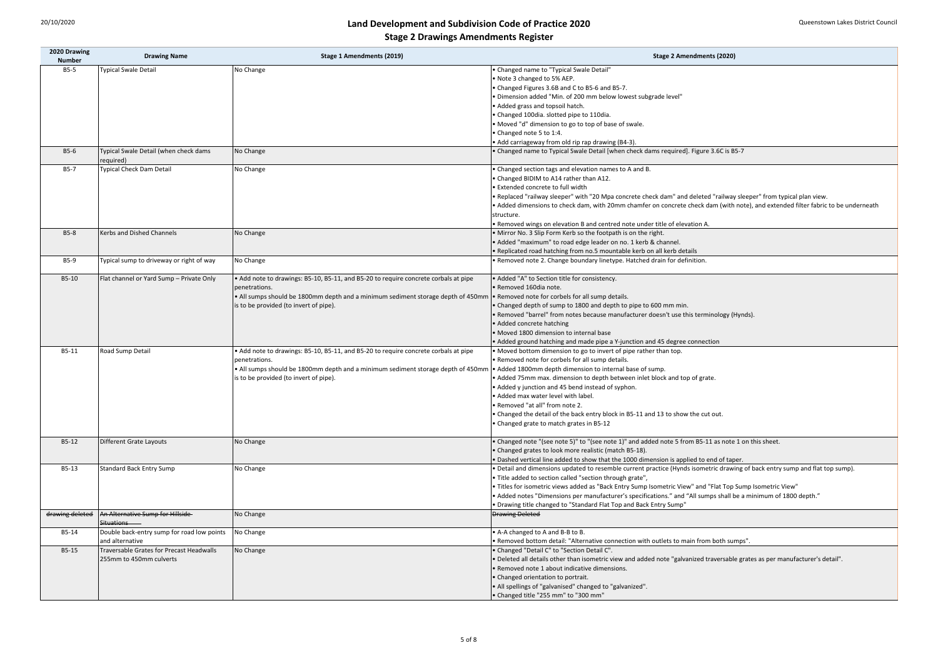| 2020 Drawing<br><b>Number</b> | <b>Drawing Name</b>                              | $\mathbf{a} \bullet \mathbf{b} \bullet \mathbf{c} \bullet \mathbf{c} \bullet \mathbf{c} \bullet \mathbf{c} \bullet \mathbf{c} \bullet \mathbf{c} \bullet \mathbf{c} \bullet \mathbf{c} \bullet \mathbf{c} \bullet \mathbf{c} \bullet \mathbf{c} \bullet \mathbf{c} \bullet \mathbf{c} \bullet \mathbf{c} \bullet \mathbf{c} \bullet \mathbf{c} \bullet \mathbf{c} \bullet \mathbf{c} \bullet \mathbf{c} \bullet \mathbf{c} \bullet \mathbf{c} \bullet \mathbf{c} \bullet \mathbf{c} \bullet \mathbf{c} \bullet \mathbf{c} \bullet \mathbf{$<br><b>Stage 1 Amendments (2019)</b> | <b>Stage 2 Amendments (2020)</b>                                                                                                  |
|-------------------------------|--------------------------------------------------|---------------------------------------------------------------------------------------------------------------------------------------------------------------------------------------------------------------------------------------------------------------------------------------------------------------------------------------------------------------------------------------------------------------------------------------------------------------------------------------------------------------------------------------------------------------------------------|-----------------------------------------------------------------------------------------------------------------------------------|
| $B5-5$                        | <b>Typical Swale Detail</b>                      | No Change                                                                                                                                                                                                                                                                                                                                                                                                                                                                                                                                                                       | • Changed name to "Typical Swale Detail"                                                                                          |
|                               |                                                  |                                                                                                                                                                                                                                                                                                                                                                                                                                                                                                                                                                                 | • Note 3 changed to 5% AEP.                                                                                                       |
|                               |                                                  |                                                                                                                                                                                                                                                                                                                                                                                                                                                                                                                                                                                 | • Changed Figures 3.6B and C to B5-6 and B5-7.                                                                                    |
|                               |                                                  |                                                                                                                                                                                                                                                                                                                                                                                                                                                                                                                                                                                 | · Dimension added "Min. of 200 mm below lowest subgrade level"                                                                    |
|                               |                                                  |                                                                                                                                                                                                                                                                                                                                                                                                                                                                                                                                                                                 | • Added grass and topsoil hatch.                                                                                                  |
|                               |                                                  |                                                                                                                                                                                                                                                                                                                                                                                                                                                                                                                                                                                 | • Changed 100dia. slotted pipe to 110dia.                                                                                         |
|                               |                                                  |                                                                                                                                                                                                                                                                                                                                                                                                                                                                                                                                                                                 | . Moved "d" dimension to go to top of base of swale.                                                                              |
|                               |                                                  |                                                                                                                                                                                                                                                                                                                                                                                                                                                                                                                                                                                 | • Changed note 5 to 1:4.                                                                                                          |
|                               |                                                  |                                                                                                                                                                                                                                                                                                                                                                                                                                                                                                                                                                                 | • Add carriageway from old rip rap drawing (B4-3).                                                                                |
| $B5-6$                        | Typical Swale Detail (when check dams            | No Change                                                                                                                                                                                                                                                                                                                                                                                                                                                                                                                                                                       | • Changed name to Typical Swale Detail [when check dams required]. Figure 3.6C is B5-7                                            |
|                               | required)                                        |                                                                                                                                                                                                                                                                                                                                                                                                                                                                                                                                                                                 |                                                                                                                                   |
| $B5-7$                        | <b>Typical Check Dam Detail</b>                  | No Change                                                                                                                                                                                                                                                                                                                                                                                                                                                                                                                                                                       | • Changed section tags and elevation names to A and B.                                                                            |
|                               |                                                  |                                                                                                                                                                                                                                                                                                                                                                                                                                                                                                                                                                                 | • Changed BIDIM to A14 rather than A12.                                                                                           |
|                               |                                                  |                                                                                                                                                                                                                                                                                                                                                                                                                                                                                                                                                                                 | • Extended concrete to full width                                                                                                 |
|                               |                                                  |                                                                                                                                                                                                                                                                                                                                                                                                                                                                                                                                                                                 | . Replaced "railway sleeper" with "20 Mpa concrete check dam" and deleted "railway sleeper" from typical plan view.               |
|                               |                                                  |                                                                                                                                                                                                                                                                                                                                                                                                                                                                                                                                                                                 | • Added dimensions to check dam, with 20mm chamfer on concrete check dam (with note), and extended filter fabric to be underneath |
|                               |                                                  |                                                                                                                                                                                                                                                                                                                                                                                                                                                                                                                                                                                 | structure.                                                                                                                        |
|                               |                                                  |                                                                                                                                                                                                                                                                                                                                                                                                                                                                                                                                                                                 | . Removed wings on elevation B and centred note under title of elevation A.                                                       |
| <b>B5-8</b>                   | Kerbs and Dished Channels                        | No Change                                                                                                                                                                                                                                                                                                                                                                                                                                                                                                                                                                       | . Mirror No. 3 Slip Form Kerb so the footpath is on the right.                                                                    |
|                               |                                                  |                                                                                                                                                                                                                                                                                                                                                                                                                                                                                                                                                                                 | • Added "maximum" to road edge leader on no. 1 kerb & channel.                                                                    |
|                               |                                                  |                                                                                                                                                                                                                                                                                                                                                                                                                                                                                                                                                                                 | · Replicated road hatching from no.5 mountable kerb on all kerb details                                                           |
| <b>B5-9</b>                   | Typical sump to driveway or right of way         | No Change                                                                                                                                                                                                                                                                                                                                                                                                                                                                                                                                                                       | . Removed note 2. Change boundary linetype. Hatched drain for definition.                                                         |
|                               |                                                  |                                                                                                                                                                                                                                                                                                                                                                                                                                                                                                                                                                                 |                                                                                                                                   |
| B5-10                         | Flat channel or Yard Sump - Private Only         | • Add note to drawings: B5-10, B5-11, and B5-20 to require concrete corbals at pipe                                                                                                                                                                                                                                                                                                                                                                                                                                                                                             | • Added "A" to Section title for consistency.                                                                                     |
|                               |                                                  | penetrations.                                                                                                                                                                                                                                                                                                                                                                                                                                                                                                                                                                   | · Removed 160dia note.                                                                                                            |
|                               |                                                  | . All sumps should be 1800mm depth and a minimum sediment storage depth of 450mm                                                                                                                                                                                                                                                                                                                                                                                                                                                                                                | • Removed note for corbels for all sump details.                                                                                  |
|                               |                                                  | is to be provided (to invert of pipe).                                                                                                                                                                                                                                                                                                                                                                                                                                                                                                                                          | • Changed depth of sump to 1800 and depth to pipe to 600 mm min.                                                                  |
|                               |                                                  |                                                                                                                                                                                                                                                                                                                                                                                                                                                                                                                                                                                 | • Removed "barrel" from notes because manufacturer doesn't use this terminology (Hynds).                                          |
|                               |                                                  |                                                                                                                                                                                                                                                                                                                                                                                                                                                                                                                                                                                 | • Added concrete hatching                                                                                                         |
|                               |                                                  |                                                                                                                                                                                                                                                                                                                                                                                                                                                                                                                                                                                 | • Moved 1800 dimension to internal base                                                                                           |
|                               |                                                  |                                                                                                                                                                                                                                                                                                                                                                                                                                                                                                                                                                                 | • Added ground hatching and made pipe a Y-junction and 45 degree connection                                                       |
| $B5-11$                       | Road Sump Detail                                 | • Add note to drawings: B5-10, B5-11, and B5-20 to require concrete corbals at pipe                                                                                                                                                                                                                                                                                                                                                                                                                                                                                             | • Moved bottom dimension to go to invert of pipe rather than top.                                                                 |
|                               |                                                  | penetrations.                                                                                                                                                                                                                                                                                                                                                                                                                                                                                                                                                                   | . Removed note for corbels for all sump details.                                                                                  |
|                               |                                                  | . All sumps should be 1800mm depth and a minimum sediment storage depth of 450mm                                                                                                                                                                                                                                                                                                                                                                                                                                                                                                | • Added 1800mm depth dimension to internal base of sump.                                                                          |
|                               |                                                  | is to be provided (to invert of pipe).                                                                                                                                                                                                                                                                                                                                                                                                                                                                                                                                          | • Added 75mm max. dimension to depth between inlet block and top of grate.                                                        |
|                               |                                                  |                                                                                                                                                                                                                                                                                                                                                                                                                                                                                                                                                                                 | • Added y junction and 45 bend instead of syphon.                                                                                 |
|                               |                                                  |                                                                                                                                                                                                                                                                                                                                                                                                                                                                                                                                                                                 | . Added max water level with label.                                                                                               |
|                               |                                                  |                                                                                                                                                                                                                                                                                                                                                                                                                                                                                                                                                                                 | · Removed "at all" from note 2.                                                                                                   |
|                               |                                                  |                                                                                                                                                                                                                                                                                                                                                                                                                                                                                                                                                                                 | • Changed the detail of the back entry block in B5-11 and 13 to show the cut out.                                                 |
|                               |                                                  |                                                                                                                                                                                                                                                                                                                                                                                                                                                                                                                                                                                 | • Changed grate to match grates in B5-12                                                                                          |
|                               |                                                  |                                                                                                                                                                                                                                                                                                                                                                                                                                                                                                                                                                                 |                                                                                                                                   |
| $B5-12$                       | Different Grate Layouts                          | No Change                                                                                                                                                                                                                                                                                                                                                                                                                                                                                                                                                                       | • Changed note "(see note 5)" to "(see note 1)" and added note 5 from B5-11 as note 1 on this sheet.                              |
|                               |                                                  |                                                                                                                                                                                                                                                                                                                                                                                                                                                                                                                                                                                 | • Changed grates to look more realistic (match B5-18).                                                                            |
|                               |                                                  |                                                                                                                                                                                                                                                                                                                                                                                                                                                                                                                                                                                 | . Dashed vertical line added to show that the 1000 dimension is applied to end of taper.                                          |
| $B5-13$                       | <b>Standard Back Entry Sump</b>                  | No Change                                                                                                                                                                                                                                                                                                                                                                                                                                                                                                                                                                       | • Detail and dimensions updated to resemble current practice (Hynds isometric drawing of back entry sump and flat top sump).      |
|                               |                                                  |                                                                                                                                                                                                                                                                                                                                                                                                                                                                                                                                                                                 | • Title added to section called "section through grate",                                                                          |
|                               |                                                  |                                                                                                                                                                                                                                                                                                                                                                                                                                                                                                                                                                                 | . Titles for isometric views added as "Back Entry Sump Isometric View" and "Flat Top Sump Isometric View"                         |
|                               |                                                  |                                                                                                                                                                                                                                                                                                                                                                                                                                                                                                                                                                                 | • Added notes "Dimensions per manufacturer's specifications." and "All sumps shall be a minimum of 1800 depth."                   |
|                               |                                                  |                                                                                                                                                                                                                                                                                                                                                                                                                                                                                                                                                                                 | . Drawing title changed to "Standard Flat Top and Back Entry Sump"                                                                |
| drawing deleted               | An Alternative Sump for Hillside<br>Situations — | No Change                                                                                                                                                                                                                                                                                                                                                                                                                                                                                                                                                                       | <b>Drawing Deleted</b>                                                                                                            |
| B5-14                         | Double back-entry sump for road low points       | No Change                                                                                                                                                                                                                                                                                                                                                                                                                                                                                                                                                                       | • A-A changed to A and B-B to B.                                                                                                  |
|                               | and alternative                                  |                                                                                                                                                                                                                                                                                                                                                                                                                                                                                                                                                                                 | • Removed bottom detail: "Alternative connection with outlets to main from both sumps".                                           |
| B5-15                         | Traversable Grates for Precast Headwalls         | No Change                                                                                                                                                                                                                                                                                                                                                                                                                                                                                                                                                                       | • Changed "Detail C" to "Section Detail C".                                                                                       |
|                               | 255mm to 450mm culverts                          |                                                                                                                                                                                                                                                                                                                                                                                                                                                                                                                                                                                 | . Deleted all details other than isometric view and added note "galvanized traversable grates as per manufacturer's detail".      |
|                               |                                                  |                                                                                                                                                                                                                                                                                                                                                                                                                                                                                                                                                                                 | • Removed note 1 about indicative dimensions.                                                                                     |
|                               |                                                  |                                                                                                                                                                                                                                                                                                                                                                                                                                                                                                                                                                                 | • Changed orientation to portrait.                                                                                                |
|                               |                                                  |                                                                                                                                                                                                                                                                                                                                                                                                                                                                                                                                                                                 | • All spellings of "galvanised" changed to "galvanized".                                                                          |
|                               |                                                  |                                                                                                                                                                                                                                                                                                                                                                                                                                                                                                                                                                                 | • Changed title "255 mm" to "300 mm"                                                                                              |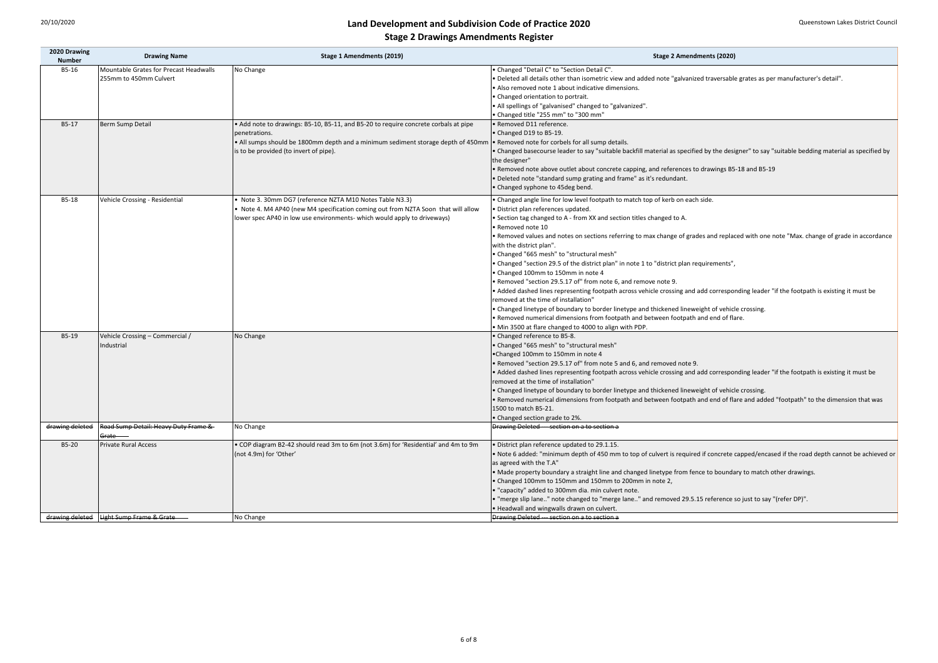| <b>Stage 2 Amendments (2020)</b>                                                                                                               |
|------------------------------------------------------------------------------------------------------------------------------------------------|
| • Changed "Detail C" to "Section Detail C".                                                                                                    |
| . "Deleted all details other than isometric view and added note "galvanized traversable grates as per manufacturer's detail".                  |
| • Also removed note 1 about indicative dimensions.                                                                                             |
| • Changed orientation to portrait.                                                                                                             |
| . All spellings of "galvanised" changed to "galvanized".                                                                                       |
| • Changed title "255 mm" to "300 mm"                                                                                                           |
| · Removed D11 reference.                                                                                                                       |
| • Changed D19 to B5-19.                                                                                                                        |
| • Removed note for corbels for all sump details.                                                                                               |
| • Changed basecourse leader to say "suitable backfill material as specified by the designer" to say "suitable bedding material as specified by |
| the designer"                                                                                                                                  |
| • Removed note above outlet about concrete capping, and references to drawings B5-18 and B5-19                                                 |
| · Deleted note "standard sump grating and frame" as it's redundant.                                                                            |
| • Changed syphone to 45deg bend.                                                                                                               |
| . Changed angle line for low level footpath to match top of kerb on each side.                                                                 |
| · District plan references updated.                                                                                                            |
| • Section tag changed to A - from XX and section titles changed to A.                                                                          |
| · Removed note 10                                                                                                                              |
| • Removed values and notes on sections referring to max change of grades and replaced with one note "Max. change of grade in accordance        |
| with the district plan".                                                                                                                       |
| • Changed "665 mesh" to "structural mesh"                                                                                                      |
| • Changed "section 29.5 of the district plan" in note 1 to "district plan requirements",                                                       |
| • Changed 100mm to 150mm in note 4                                                                                                             |
| . Removed "section 29.5.17 of" from note 6, and remove note 9.                                                                                 |
| • Added dashed lines representing footpath across vehicle crossing and add corresponding leader "if the footpath is existing it must be        |
| removed at the time of installation"                                                                                                           |
| • Changed linetype of boundary to border linetype and thickened lineweight of vehicle crossing.                                                |
| . Removed numerical dimensions from footpath and between footpath and end of flare.                                                            |
| • Min 3500 at flare changed to 4000 to align with PDP.                                                                                         |
| • Changed reference to B5-8.                                                                                                                   |
| • Changed "665 mesh" to "structural mesh"                                                                                                      |
| •Changed 100mm to 150mm in note 4                                                                                                              |
| . Removed "section 29.5.17 of" from note 5 and 6, and removed note 9.                                                                          |
| • Added dashed lines representing footpath across vehicle crossing and add corresponding leader "if the footpath is existing it must be        |
| removed at the time of installation"                                                                                                           |
| • Changed linetype of boundary to border linetype and thickened lineweight of vehicle crossing.                                                |
| . Removed numerical dimensions from footpath and between footpath and end of flare and added "footpath" to the dimension that was              |
| 1500 to match B5-21.                                                                                                                           |
| • Changed section grade to 2%.                                                                                                                 |
| Drawing Deleted --- section on a to section a                                                                                                  |
| · District plan reference updated to 29.1.15.                                                                                                  |
| • Note 6 added: "minimum depth of 450 mm to top of culvert is required if concrete capped/encased if the road depth cannot be achieved or      |
| as agreed with the T.A"                                                                                                                        |
| • Made property boundary a straight line and changed linetype from fence to boundary to match other drawings.                                  |
| • Changed 100mm to 150mm and 150mm to 200mm in note 2,                                                                                         |

hanged to "merge lane.." and removed 29.5.15 reference so just to say "(refer DP)".

| 2020 Drawing<br><b>Number</b> | <b>Drawing Name</b>                    | <b>Stage 1 Amendments (2019)</b>                                                    | <b>Stage 2 Amendments (2020)</b>                                                         |
|-------------------------------|----------------------------------------|-------------------------------------------------------------------------------------|------------------------------------------------------------------------------------------|
| B5-16                         | Mountable Grates for Precast Headwalls | No Change                                                                           | • Changed "Detail C" to "Section Detail C".                                              |
|                               | 255mm to 450mm Culvert                 |                                                                                     | . Deleted all details other than isometric view and added note "galvanized traversabl    |
|                               |                                        |                                                                                     | • Also removed note 1 about indicative dimensions.                                       |
|                               |                                        |                                                                                     | • Changed orientation to portrait.                                                       |
|                               |                                        |                                                                                     | . All spellings of "galvanised" changed to "galvanized".                                 |
|                               |                                        |                                                                                     | • Changed title "255 mm" to "300 mm"                                                     |
| B5-17                         | <b>Berm Sump Detail</b>                | • Add note to drawings: B5-10, B5-11, and B5-20 to require concrete corbals at pipe | • Removed D11 reference.                                                                 |
|                               |                                        | penetrations.                                                                       | • Changed D19 to B5-19.                                                                  |
|                               |                                        | . All sumps should be 1800mm depth and a minimum sediment storage depth of 450mm    | . Removed note for corbels for all sump details.                                         |
|                               |                                        | is to be provided (to invert of pipe).                                              | . Changed basecourse leader to say "suitable backfill material as specified by the desi  |
|                               |                                        |                                                                                     | the designer"                                                                            |
|                               |                                        |                                                                                     | . Removed note above outlet about concrete capping, and references to drawings B5        |
|                               |                                        |                                                                                     | • Deleted note "standard sump grating and frame" as it's redundant.                      |
|                               |                                        |                                                                                     | • Changed syphone to 45deg bend.                                                         |
|                               |                                        |                                                                                     |                                                                                          |
| B5-18                         | Vehicle Crossing - Residential         | Note 3. 30mm DG7 (reference NZTA M10 Notes Table N3.3)                              | . Changed angle line for low level footpath to match top of kerb on each side.           |
|                               |                                        | Note 4. M4 AP40 (new M4 specification coming out from NZTA Soon that will allow     | · District plan references updated.                                                      |
|                               |                                        | lower spec AP40 in low use environments- which would apply to driveways)            | • Section tag changed to A - from XX and section titles changed to A.                    |
|                               |                                        |                                                                                     | · Removed note 10                                                                        |
|                               |                                        |                                                                                     | • Removed values and notes on sections referring to max change of grades and repla       |
|                               |                                        |                                                                                     | with the district plan".                                                                 |
|                               |                                        |                                                                                     | • Changed "665 mesh" to "structural mesh"                                                |
|                               |                                        |                                                                                     | • Changed "section 29.5 of the district plan" in note 1 to "district plan requirements", |
|                               |                                        |                                                                                     | • Changed 100mm to 150mm in note 4                                                       |
|                               |                                        |                                                                                     | • Removed "section 29.5.17 of" from note 6, and remove note 9.                           |
|                               |                                        |                                                                                     | • Added dashed lines representing footpath across vehicle crossing and add correspo      |
|                               |                                        |                                                                                     | removed at the time of installation"                                                     |
|                               |                                        |                                                                                     | • Changed linetype of boundary to border linetype and thickened lineweight of vehic      |
|                               |                                        |                                                                                     | . Removed numerical dimensions from footpath and between footpath and end of fla         |
|                               |                                        |                                                                                     | . Min 3500 at flare changed to 4000 to align with PDP.                                   |
| B5-19                         | Vehicle Crossing - Commercial /        | No Change                                                                           | • Changed reference to B5-8.                                                             |
|                               | ndustrial                              |                                                                                     | • Changed "665 mesh" to "structural mesh"                                                |
|                               |                                        |                                                                                     | •Changed 100mm to 150mm in note 4                                                        |
|                               |                                        |                                                                                     | . Removed "section 29.5.17 of" from note 5 and 6, and removed note 9.                    |
|                               |                                        |                                                                                     | • Added dashed lines representing footpath across vehicle crossing and add correspo      |
|                               |                                        |                                                                                     | removed at the time of installation"                                                     |
|                               |                                        |                                                                                     | • Changed linetype of boundary to border linetype and thickened lineweight of vehic      |
|                               |                                        |                                                                                     | . Removed numerical dimensions from footpath and between footpath and end of fla         |
|                               |                                        |                                                                                     | 1500 to match B5-21.                                                                     |
|                               |                                        |                                                                                     | • Changed section grade to 2%.                                                           |
| drawing deleted               | Road Sump Detail: Heavy Duty Frame &   | No Change                                                                           | Drawing Deleted --- section on a to section a                                            |
|                               | <del>Grate</del>                       |                                                                                     |                                                                                          |
| B5-20                         | <b>Private Rural Access</b>            | • COP diagram B2-42 should read 3m to 6m (not 3.6m) for 'Residential' and 4m to 9m  | . District plan reference updated to 29.1.15.                                            |
|                               |                                        | (not 4.9m) for 'Other'                                                              | . Note 6 added: "minimum depth of 450 mm to top of culvert is required if concrete       |
|                               |                                        |                                                                                     | as agreed with the T.A"                                                                  |
|                               |                                        |                                                                                     | • Made property boundary a straight line and changed linetype from fence to bounda       |
|                               |                                        |                                                                                     | • Changed 100mm to 150mm and 150mm to 200mm in note 2,                                   |
|                               |                                        |                                                                                     | • "capacity" added to 300mm dia. min culvert note.                                       |
|                               |                                        |                                                                                     | . "merge slip lane" note changed to "merge lane" and removed 29.5.15 reference           |
|                               |                                        |                                                                                     | . Headwall and wingwalls drawn on culvert.                                               |
| drawing deleted               | <b>Light Sump Frame &amp; Grate</b>    | No Change                                                                           | Drawing Deleted --- section on a to section a                                            |
|                               |                                        |                                                                                     |                                                                                          |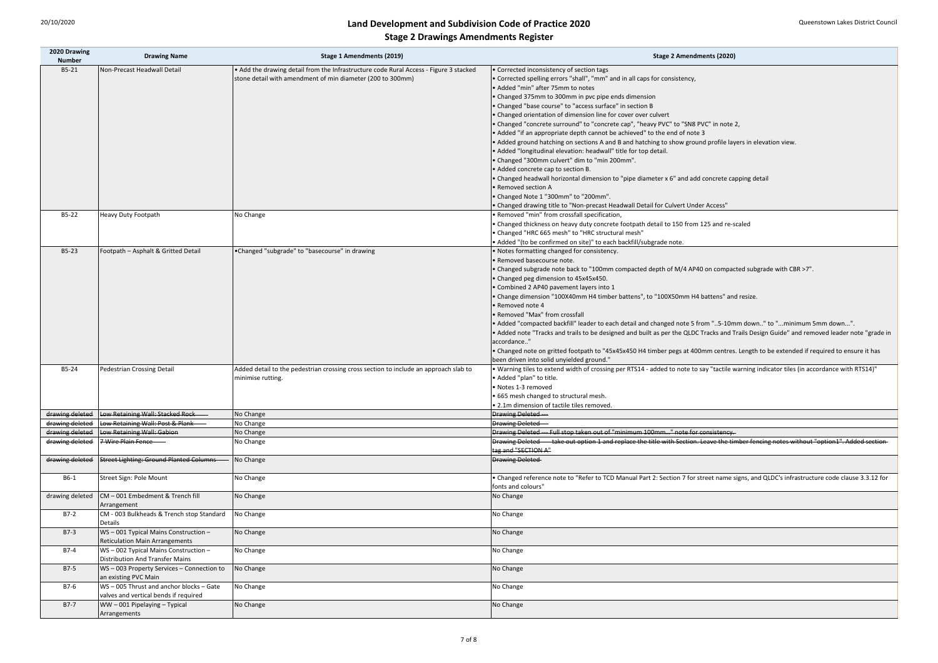|  | <b>Stage 2 Amendments (2020)</b> |  |
|--|----------------------------------|--|
|--|----------------------------------|--|

sections A and B and hatching to show ground profile layers in elevation view.

tal dimension to "pipe diameter x 6" and add concrete capping detail

vy duty concrete footpath detail to 150 from 125 and re-scaled

ack to "100mm compacted depth of M/4 AP40 on compacted subgrade with CBR >7".

0mm H4 timber battens", to "100X50mm H4 battens" and resize.

I" leader to each detail and changed note 5 from "..5-10mm down.." to "...minimum 5mm down...". ails to be designed and built as per the QLDC Tracks and Trails Design Guide" and removed leader note "grade in

ootpath to "45x45x450 H4 timber pegs at 400mm centres. Length to be extended if required to ensure it has bed ground."

dth of crossing per RTS14 - added to note to say "tactile warning indicator tiles (in accordance with RTS14)"

taken out of "minimum 100mm..." note for consistency. it option 1 and replace the title with Section. Leave the timber fencing notes without "option1". Added section

"Refer to TCD Manual Part 2: Section 7 for street name signs, and QLDC's infrastructure code clause 3.3.12 for

| 2020 Drawing<br><b>Number</b> | <b>Drawing Name</b>                       | <b>Stage 1 Amendments (2019)</b>                                                      | <b>Stage 2 Amendments (2020)</b>                                                        |
|-------------------------------|-------------------------------------------|---------------------------------------------------------------------------------------|-----------------------------------------------------------------------------------------|
| B5-21                         | Non-Precast Headwall Detail               | • Add the drawing detail from the Infrastructure code Rural Access - Figure 3 stacked | • Corrected inconsistency of section tags                                               |
|                               |                                           | stone detail with amendment of min diameter (200 to 300mm)                            | • Corrected spelling errors "shall", "mm" and in all caps for consistency,              |
|                               |                                           |                                                                                       | • Added "min" after 75mm to notes                                                       |
|                               |                                           |                                                                                       | • Changed 375mm to 300mm in pvc pipe ends dimension                                     |
|                               |                                           |                                                                                       | • Changed "base course" to "access surface" in section B                                |
|                               |                                           |                                                                                       | • Changed orientation of dimension line for cover over culvert                          |
|                               |                                           |                                                                                       | • Changed "concrete surround" to "concrete cap", "heavy PVC" to "SN8 PVC" in note       |
|                               |                                           |                                                                                       | • Added "if an appropriate depth cannot be achieved" to the end of note 3               |
|                               |                                           |                                                                                       | • Added ground hatching on sections A and B and hatching to show ground profile lay     |
|                               |                                           |                                                                                       | . Added "longitudinal elevation: headwall" title for top detail.                        |
|                               |                                           |                                                                                       | . Changed "300mm culvert" dim to "min 200mm".                                           |
|                               |                                           |                                                                                       | • Added concrete cap to section B.                                                      |
|                               |                                           |                                                                                       | • Changed headwall horizontal dimension to "pipe diameter x 6" and add concrete ca      |
|                               |                                           |                                                                                       | • Removed section A                                                                     |
|                               |                                           |                                                                                       | • Changed Note 1 "300mm" to "200mm".                                                    |
|                               |                                           |                                                                                       | • Changed drawing title to "Non-precast Headwall Detail for Culvert Under Access"       |
| B5-22                         | <b>Heavy Duty Footpath</b>                | No Change                                                                             | · Removed "min" from crossfall specification,                                           |
|                               |                                           |                                                                                       | • Changed thickness on heavy duty concrete footpath detail to 150 from 125 and re-s     |
|                               |                                           |                                                                                       | • Changed "HRC 665 mesh" to "HRC structural mesh"                                       |
|                               |                                           |                                                                                       | • Added "(to be confirmed on site)" to each backfill/subgrade note.                     |
| B5-23                         | Footpath - Asphalt & Gritted Detail       | •Changed "subgrade" to "basecourse" in drawing                                        | . Notes formatting changed for consistency.                                             |
|                               |                                           |                                                                                       | • Removed basecourse note.                                                              |
|                               |                                           |                                                                                       |                                                                                         |
|                               |                                           |                                                                                       | • Changed subgrade note back to "100mm compacted depth of M/4 AP40 on compad            |
|                               |                                           |                                                                                       | • Changed peg dimension to 45x45x450.                                                   |
|                               |                                           |                                                                                       | • Combined 2 AP40 pavement layers into 1                                                |
|                               |                                           |                                                                                       | • Change dimension "100X40mm H4 timber battens", to "100X50mm H4 battens" an            |
|                               |                                           |                                                                                       | • Removed note 4                                                                        |
|                               |                                           |                                                                                       | • Removed "Max" from crossfall                                                          |
|                               |                                           |                                                                                       | • Added "compacted backfill" leader to each detail and changed note 5 from "5-10n       |
|                               |                                           |                                                                                       | Added note "Tracks and trails to be designed and built as per the QLDC Tracks and 1     |
|                               |                                           |                                                                                       | accordance"                                                                             |
|                               |                                           |                                                                                       | • Changed note on gritted footpath to "45x45x450 H4 timber pegs at 400mm centres        |
|                               |                                           |                                                                                       | been driven into solid unyielded ground."                                               |
| B5-24                         | Pedestrian Crossing Detail                | Added detail to the pedestrian crossing cross section to include an approach slab to  | . Warning tiles to extend width of crossing per RTS14 - added to note to say "tactile v |
|                               |                                           | minimise rutting.                                                                     | • Added "plan" to title.                                                                |
|                               |                                           |                                                                                       | · Notes 1-3 removed                                                                     |
|                               |                                           |                                                                                       | • 665 mesh changed to structural mesh.                                                  |
|                               |                                           |                                                                                       | . 2.1m dimension of tactile tiles removed.                                              |
| drawing deleted               | Low Retaining Wall: Stacked Rock          | No Change                                                                             | <b>Drawing Deleted</b> ---                                                              |
| drawing deleted               | Low Retaining Wall: Post & Plank          | No Change                                                                             | <b>Drawing Deleted---</b>                                                               |
| drawing deleted               | Low Retaining Wall: Gabion                | No Change                                                                             | Drawing Deleted --- Full stop taken out of "minimum 100mm" note for consistency.        |
| drawing deleted               | 7 Wire Plain Fence                        | No Change                                                                             | Drawing Deleted - - take out option 1 and replace the title with Section. Leave the til |
|                               |                                           |                                                                                       | tag and "SECTION A"                                                                     |
| drawing deleted               | Street Lighting: Ground Planted Columns   | No Change                                                                             | <b>Drawing Deleted</b>                                                                  |
|                               |                                           |                                                                                       |                                                                                         |
| B6-1                          | Street Sign: Pole Mount                   | No Change                                                                             | . Changed reference note to "Refer to TCD Manual Part 2: Section 7 for street name      |
|                               |                                           |                                                                                       | fonts and colours"                                                                      |
| drawing deleted               | CM-001 Embedment & Trench fill            | No Change                                                                             | No Change                                                                               |
|                               | Arrangement                               |                                                                                       |                                                                                         |
| $B7-2$                        | CM - 003 Bulkheads & Trench stop Standard | No Change                                                                             | No Change                                                                               |
|                               | <b>Details</b>                            |                                                                                       |                                                                                         |
| $B7-3$                        | WS-001 Typical Mains Construction-        | No Change                                                                             | No Change                                                                               |
|                               | <b>Reticulation Main Arrangements</b>     |                                                                                       |                                                                                         |
| $B7-4$                        | WS-002 Typical Mains Construction-        | No Change                                                                             | No Change                                                                               |
|                               | <b>Distribution And Transfer Mains</b>    |                                                                                       |                                                                                         |
| $B7-5$                        | WS-003 Property Services-Connection to    | No Change                                                                             | No Change                                                                               |
|                               | an existing PVC Main                      |                                                                                       |                                                                                         |
| B7-6                          | WS-005 Thrust and anchor blocks-Gate      | No Change                                                                             | No Change                                                                               |
|                               | valves and vertical bends if required     |                                                                                       |                                                                                         |
| $B7-7$                        | WW-001 Pipelaying-Typical                 | No Change                                                                             | No Change                                                                               |
|                               | Arrangements                              |                                                                                       |                                                                                         |